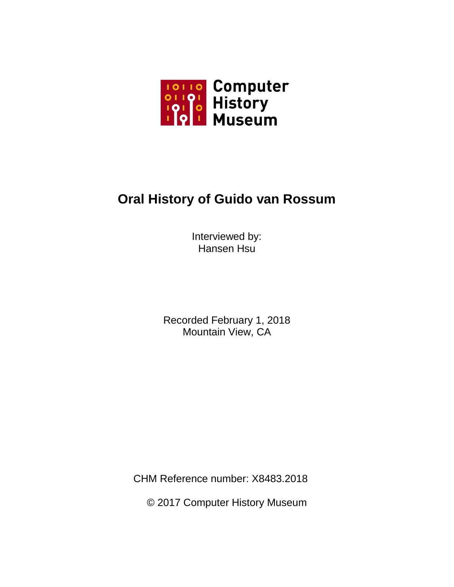

# **Oral History of Guido van Rossum**

Interviewed by: Hansen Hsu

Recorded February 1, 2018 Mountain View, CA

CHM Reference number: X8483.2018

© 2017 Computer History Museum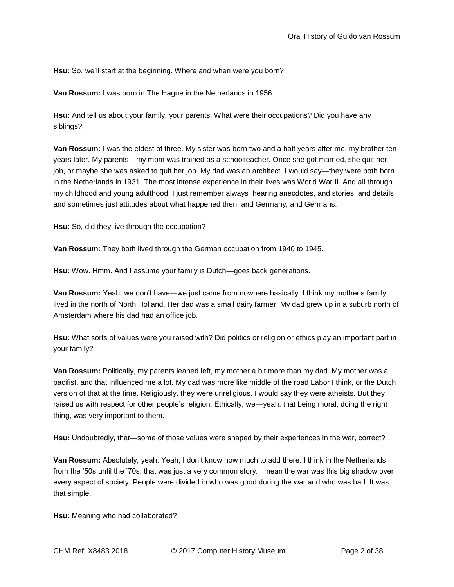**Hsu:** So, we'll start at the beginning. Where and when were you born?

**Van Rossum:** I was born in The Hague in the Netherlands in 1956.

**Hsu:** And tell us about your family, your parents. What were their occupations? Did you have any siblings?

**Van Rossum:** I was the eldest of three. My sister was born two and a half years after me, my brother ten years later. My parents—my mom was trained as a schoolteacher. Once she got married, she quit her job, or maybe she was asked to quit her job. My dad was an architect. I would say—they were both born in the Netherlands in 1931. The most intense experience in their lives was World War II. And all through my childhood and young adulthood, I just remember always hearing anecdotes, and stories, and details, and sometimes just attitudes about what happened then, and Germany, and Germans.

**Hsu:** So, did they live through the occupation?

**Van Rossum:** They both lived through the German occupation from 1940 to 1945.

**Hsu:** Wow. Hmm. And I assume your family is Dutch—goes back generations.

**Van Rossum:** Yeah, we don't have—we just came from nowhere basically. I think my mother's family lived in the north of North Holland. Her dad was a small dairy farmer. My dad grew up in a suburb north of Amsterdam where his dad had an office job.

**Hsu:** What sorts of values were you raised with? Did politics or religion or ethics play an important part in your family?

**Van Rossum:** Politically, my parents leaned left, my mother a bit more than my dad. My mother was a pacifist, and that influenced me a lot. My dad was more like middle of the road Labor I think, or the Dutch version of that at the time. Religiously, they were unreligious. I would say they were atheists. But they raised us with respect for other people's religion. Ethically, we—yeah, that being moral, doing the right thing, was very important to them.

**Hsu:** Undoubtedly, that—some of those values were shaped by their experiences in the war, correct?

**Van Rossum:** Absolutely, yeah. Yeah, I don't know how much to add there. I think in the Netherlands from the '50s until the '70s, that was just a very common story. I mean the war was this big shadow over every aspect of society. People were divided in who was good during the war and who was bad. It was that simple.

**Hsu:** Meaning who had collaborated?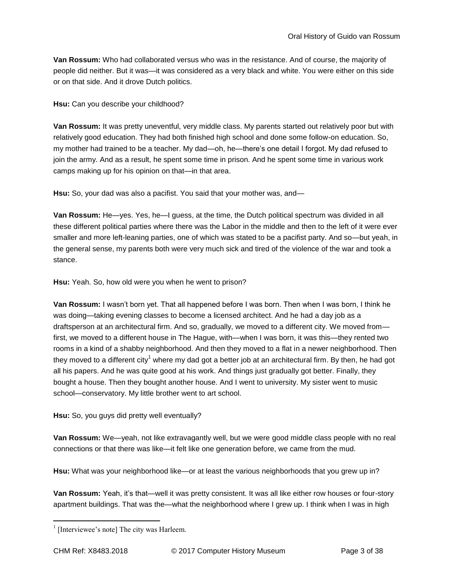**Van Rossum:** Who had collaborated versus who was in the resistance. And of course, the majority of people did neither. But it was—it was considered as a very black and white. You were either on this side or on that side. And it drove Dutch politics.

**Hsu:** Can you describe your childhood?

**Van Rossum:** It was pretty uneventful, very middle class. My parents started out relatively poor but with relatively good education. They had both finished high school and done some follow-on education. So, my mother had trained to be a teacher. My dad—oh, he—there's one detail I forgot. My dad refused to join the army. And as a result, he spent some time in prison. And he spent some time in various work camps making up for his opinion on that—in that area.

**Hsu:** So, your dad was also a pacifist. You said that your mother was, and—

**Van Rossum:** He—yes. Yes, he—I guess, at the time, the Dutch political spectrum was divided in all these different political parties where there was the Labor in the middle and then to the left of it were ever smaller and more left-leaning parties, one of which was stated to be a pacifist party. And so—but yeah, in the general sense, my parents both were very much sick and tired of the violence of the war and took a stance.

**Hsu:** Yeah. So, how old were you when he went to prison?

**Van Rossum:** I wasn't born yet. That all happened before I was born. Then when I was born, I think he was doing—taking evening classes to become a licensed architect. And he had a day job as a draftsperson at an architectural firm. And so, gradually, we moved to a different city. We moved from first, we moved to a different house in The Hague, with—when I was born, it was this—they rented two rooms in a kind of a shabby neighborhood. And then they moved to a flat in a newer neighborhood. Then they moved to a different city<sup>1</sup> where my dad got a better job at an architectural firm. By then, he had got all his papers. And he was quite good at his work. And things just gradually got better. Finally, they bought a house. Then they bought another house. And I went to university. My sister went to music school—conservatory. My little brother went to art school.

**Hsu:** So, you guys did pretty well eventually?

**Van Rossum:** We—yeah, not like extravagantly well, but we were good middle class people with no real connections or that there was like—it felt like one generation before, we came from the mud.

**Hsu:** What was your neighborhood like—or at least the various neighborhoods that you grew up in?

**Van Rossum:** Yeah, it's that—well it was pretty consistent. It was all like either row houses or four-story apartment buildings. That was the—what the neighborhood where I grew up. I think when I was in high

<sup>&</sup>lt;sup>1</sup> [Interviewee's note] The city was Harleem.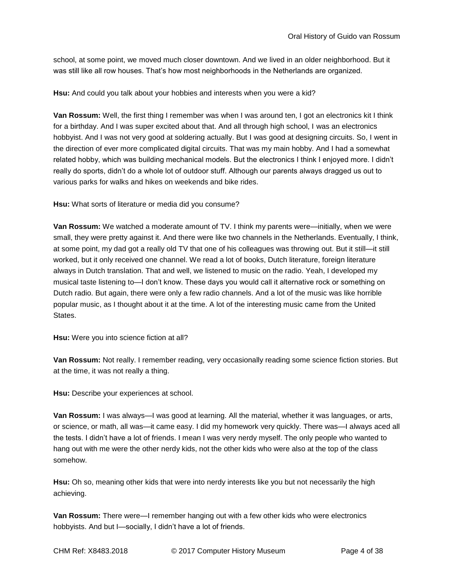school, at some point, we moved much closer downtown. And we lived in an older neighborhood. But it was still like all row houses. That's how most neighborhoods in the Netherlands are organized.

**Hsu:** And could you talk about your hobbies and interests when you were a kid?

**Van Rossum:** Well, the first thing I remember was when I was around ten, I got an electronics kit I think for a birthday. And I was super excited about that. And all through high school, I was an electronics hobbyist. And I was not very good at soldering actually. But I was good at designing circuits. So, I went in the direction of ever more complicated digital circuits. That was my main hobby. And I had a somewhat related hobby, which was building mechanical models. But the electronics I think I enjoyed more. I didn't really do sports, didn't do a whole lot of outdoor stuff. Although our parents always dragged us out to various parks for walks and hikes on weekends and bike rides.

**Hsu:** What sorts of literature or media did you consume?

**Van Rossum:** We watched a moderate amount of TV. I think my parents were—initially, when we were small, they were pretty against it. And there were like two channels in the Netherlands. Eventually, I think, at some point, my dad got a really old TV that one of his colleagues was throwing out. But it still—it still worked, but it only received one channel. We read a lot of books, Dutch literature, foreign literature always in Dutch translation. That and well, we listened to music on the radio. Yeah, I developed my musical taste listening to—I don't know. These days you would call it alternative rock or something on Dutch radio. But again, there were only a few radio channels. And a lot of the music was like horrible popular music, as I thought about it at the time. A lot of the interesting music came from the United States.

**Hsu:** Were you into science fiction at all?

**Van Rossum:** Not really. I remember reading, very occasionally reading some science fiction stories. But at the time, it was not really a thing.

**Hsu:** Describe your experiences at school.

**Van Rossum:** I was always—I was good at learning. All the material, whether it was languages, or arts, or science, or math, all was—it came easy. I did my homework very quickly. There was—I always aced all the tests. I didn't have a lot of friends. I mean I was very nerdy myself. The only people who wanted to hang out with me were the other nerdy kids, not the other kids who were also at the top of the class somehow.

**Hsu:** Oh so, meaning other kids that were into nerdy interests like you but not necessarily the high achieving.

**Van Rossum:** There were—I remember hanging out with a few other kids who were electronics hobbyists. And but I—socially, I didn't have a lot of friends.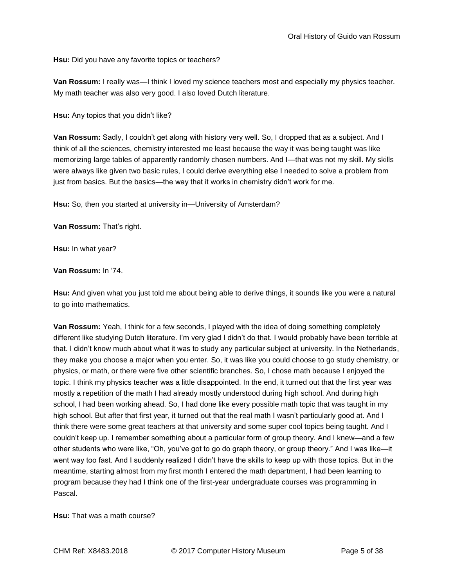**Hsu:** Did you have any favorite topics or teachers?

**Van Rossum:** I really was—I think I loved my science teachers most and especially my physics teacher. My math teacher was also very good. I also loved Dutch literature.

**Hsu:** Any topics that you didn't like?

**Van Rossum:** Sadly, I couldn't get along with history very well. So, I dropped that as a subject. And I think of all the sciences, chemistry interested me least because the way it was being taught was like memorizing large tables of apparently randomly chosen numbers. And I—that was not my skill. My skills were always like given two basic rules, I could derive everything else I needed to solve a problem from just from basics. But the basics—the way that it works in chemistry didn't work for me.

**Hsu:** So, then you started at university in—University of Amsterdam?

**Van Rossum:** That's right.

**Hsu:** In what year?

# **Van Rossum:** In '74.

**Hsu:** And given what you just told me about being able to derive things, it sounds like you were a natural to go into mathematics.

**Van Rossum:** Yeah, I think for a few seconds, I played with the idea of doing something completely different like studying Dutch literature. I'm very glad I didn't do that. I would probably have been terrible at that. I didn't know much about what it was to study any particular subject at university. In the Netherlands, they make you choose a major when you enter. So, it was like you could choose to go study chemistry, or physics, or math, or there were five other scientific branches. So, I chose math because I enjoyed the topic. I think my physics teacher was a little disappointed. In the end, it turned out that the first year was mostly a repetition of the math I had already mostly understood during high school. And during high school, I had been working ahead. So, I had done like every possible math topic that was taught in my high school. But after that first year, it turned out that the real math I wasn't particularly good at. And I think there were some great teachers at that university and some super cool topics being taught. And I couldn't keep up. I remember something about a particular form of group theory. And I knew—and a few other students who were like, "Oh, you've got to go do graph theory, or group theory." And I was like—it went way too fast. And I suddenly realized I didn't have the skills to keep up with those topics. But in the meantime, starting almost from my first month I entered the math department, I had been learning to program because they had I think one of the first-year undergraduate courses was programming in Pascal.

**Hsu:** That was a math course?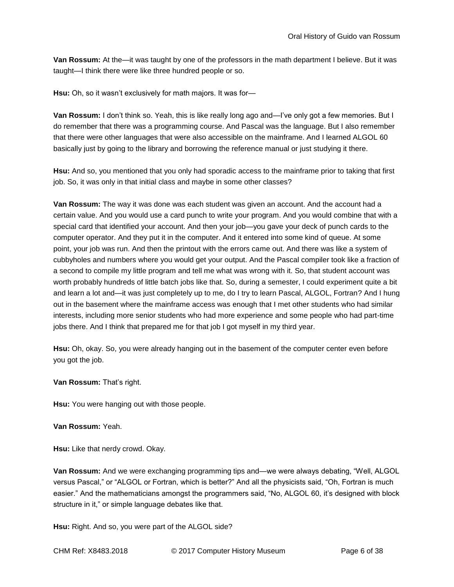**Van Rossum:** At the—it was taught by one of the professors in the math department I believe. But it was taught—I think there were like three hundred people or so.

**Hsu:** Oh, so it wasn't exclusively for math majors. It was for—

**Van Rossum:** I don't think so. Yeah, this is like really long ago and—I've only got a few memories. But I do remember that there was a programming course. And Pascal was the language. But I also remember that there were other languages that were also accessible on the mainframe. And I learned ALGOL 60 basically just by going to the library and borrowing the reference manual or just studying it there.

**Hsu:** And so, you mentioned that you only had sporadic access to the mainframe prior to taking that first job. So, it was only in that initial class and maybe in some other classes?

**Van Rossum:** The way it was done was each student was given an account. And the account had a certain value. And you would use a card punch to write your program. And you would combine that with a special card that identified your account. And then your job—you gave your deck of punch cards to the computer operator. And they put it in the computer. And it entered into some kind of queue. At some point, your job was run. And then the printout with the errors came out. And there was like a system of cubbyholes and numbers where you would get your output. And the Pascal compiler took like a fraction of a second to compile my little program and tell me what was wrong with it. So, that student account was worth probably hundreds of little batch jobs like that. So, during a semester, I could experiment quite a bit and learn a lot and—it was just completely up to me, do I try to learn Pascal, ALGOL, Fortran? And I hung out in the basement where the mainframe access was enough that I met other students who had similar interests, including more senior students who had more experience and some people who had part-time jobs there. And I think that prepared me for that job I got myself in my third year.

**Hsu:** Oh, okay. So, you were already hanging out in the basement of the computer center even before you got the job.

**Van Rossum:** That's right.

**Hsu:** You were hanging out with those people.

**Van Rossum:** Yeah.

**Hsu:** Like that nerdy crowd. Okay.

**Van Rossum:** And we were exchanging programming tips and—we were always debating, "Well, ALGOL versus Pascal," or "ALGOL or Fortran, which is better?" And all the physicists said, "Oh, Fortran is much easier." And the mathematicians amongst the programmers said, "No, ALGOL 60, it's designed with block structure in it," or simple language debates like that.

**Hsu:** Right. And so, you were part of the ALGOL side?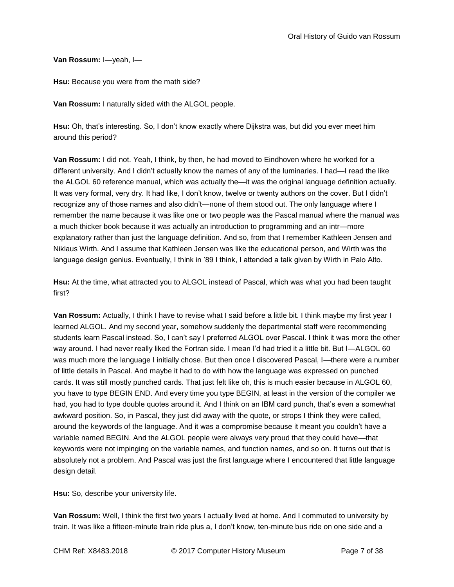**Van Rossum:** I—yeah, I—

**Hsu:** Because you were from the math side?

**Van Rossum:** I naturally sided with the ALGOL people.

**Hsu:** Oh, that's interesting. So, I don't know exactly where Dijkstra was, but did you ever meet him around this period?

**Van Rossum:** I did not. Yeah, I think, by then, he had moved to Eindhoven where he worked for a different university. And I didn't actually know the names of any of the luminaries. I had—I read the like the ALGOL 60 reference manual, which was actually the—it was the original language definition actually. It was very formal, very dry. It had like, I don't know, twelve or twenty authors on the cover. But I didn't recognize any of those names and also didn't—none of them stood out. The only language where I remember the name because it was like one or two people was the Pascal manual where the manual was a much thicker book because it was actually an introduction to programming and an intr—more explanatory rather than just the language definition. And so, from that I remember Kathleen Jensen and Niklaus Wirth. And I assume that Kathleen Jensen was like the educational person, and Wirth was the language design genius. Eventually, I think in '89 I think, I attended a talk given by Wirth in Palo Alto.

**Hsu:** At the time, what attracted you to ALGOL instead of Pascal, which was what you had been taught first?

**Van Rossum:** Actually, I think I have to revise what I said before a little bit. I think maybe my first year I learned ALGOL. And my second year, somehow suddenly the departmental staff were recommending students learn Pascal instead. So, I can't say I preferred ALGOL over Pascal. I think it was more the other way around. I had never really liked the Fortran side. I mean I'd had tried it a little bit. But I—ALGOL 60 was much more the language I initially chose. But then once I discovered Pascal, I—there were a number of little details in Pascal. And maybe it had to do with how the language was expressed on punched cards. It was still mostly punched cards. That just felt like oh, this is much easier because in ALGOL 60, you have to type BEGIN END. And every time you type BEGIN, at least in the version of the compiler we had, you had to type double quotes around it. And I think on an IBM card punch, that's even a somewhat awkward position. So, in Pascal, they just did away with the quote, or strops I think they were called, around the keywords of the language. And it was a compromise because it meant you couldn't have a variable named BEGIN. And the ALGOL people were always very proud that they could have—that keywords were not impinging on the variable names, and function names, and so on. It turns out that is absolutely not a problem. And Pascal was just the first language where I encountered that little language design detail.

**Hsu:** So, describe your university life.

**Van Rossum:** Well, I think the first two years I actually lived at home. And I commuted to university by train. It was like a fifteen-minute train ride plus a, I don't know, ten-minute bus ride on one side and a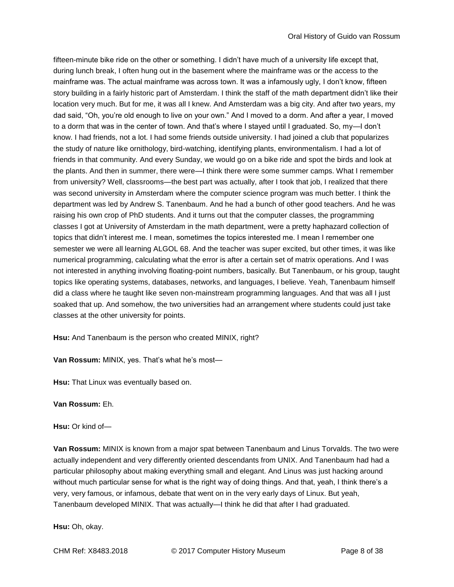fifteen-minute bike ride on the other or something. I didn't have much of a university life except that, during lunch break, I often hung out in the basement where the mainframe was or the access to the mainframe was. The actual mainframe was across town. It was a infamously ugly, I don't know, fifteen story building in a fairly historic part of Amsterdam. I think the staff of the math department didn't like their location very much. But for me, it was all I knew. And Amsterdam was a big city. And after two years, my dad said, "Oh, you're old enough to live on your own." And I moved to a dorm. And after a year, I moved to a dorm that was in the center of town. And that's where I stayed until I graduated. So, my—I don't know. I had friends, not a lot. I had some friends outside university. I had joined a club that popularizes the study of nature like ornithology, bird-watching, identifying plants, environmentalism. I had a lot of friends in that community. And every Sunday, we would go on a bike ride and spot the birds and look at the plants. And then in summer, there were—I think there were some summer camps. What I remember from university? Well, classrooms—the best part was actually, after I took that job, I realized that there was second university in Amsterdam where the computer science program was much better. I think the department was led by Andrew S. Tanenbaum. And he had a bunch of other good teachers. And he was raising his own crop of PhD students. And it turns out that the computer classes, the programming classes I got at University of Amsterdam in the math department, were a pretty haphazard collection of topics that didn't interest me. I mean, sometimes the topics interested me. I mean I remember one semester we were all learning ALGOL 68. And the teacher was super excited, but other times, it was like numerical programming, calculating what the error is after a certain set of matrix operations. And I was not interested in anything involving floating-point numbers, basically. But Tanenbaum, or his group, taught topics like operating systems, databases, networks, and languages, I believe. Yeah, Tanenbaum himself did a class where he taught like seven non-mainstream programming languages. And that was all I just soaked that up. And somehow, the two universities had an arrangement where students could just take classes at the other university for points.

**Hsu:** And Tanenbaum is the person who created MINIX, right?

**Van Rossum:** MINIX, yes. That's what he's most—

**Hsu:** That Linux was eventually based on.

**Van Rossum:** Eh.

**Hsu:** Or kind of—

**Van Rossum:** MINIX is known from a major spat between Tanenbaum and Linus Torvalds. The two were actually independent and very differently oriented descendants from UNIX. And Tanenbaum had had a particular philosophy about making everything small and elegant. And Linus was just hacking around without much particular sense for what is the right way of doing things. And that, yeah, I think there's a very, very famous, or infamous, debate that went on in the very early days of Linux. But yeah, Tanenbaum developed MINIX. That was actually—I think he did that after I had graduated.

**Hsu:** Oh, okay.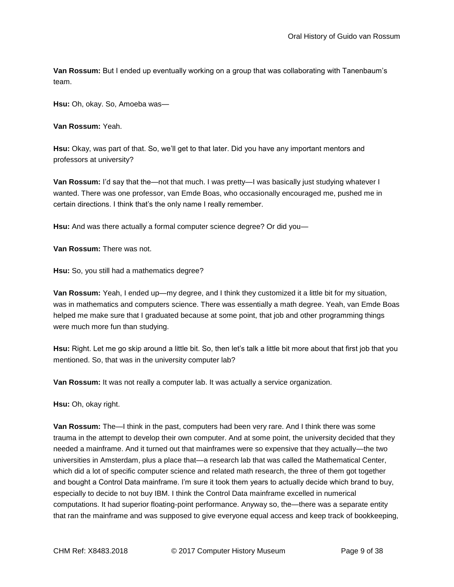**Van Rossum:** But I ended up eventually working on a group that was collaborating with Tanenbaum's team.

**Hsu:** Oh, okay. So, Amoeba was—

**Van Rossum:** Yeah.

**Hsu:** Okay, was part of that. So, we'll get to that later. Did you have any important mentors and professors at university?

**Van Rossum:** I'd say that the—not that much. I was pretty—I was basically just studying whatever I wanted. There was one professor, van Emde Boas, who occasionally encouraged me, pushed me in certain directions. I think that's the only name I really remember.

**Hsu:** And was there actually a formal computer science degree? Or did you—

**Van Rossum:** There was not.

**Hsu:** So, you still had a mathematics degree?

**Van Rossum:** Yeah, I ended up—my degree, and I think they customized it a little bit for my situation, was in mathematics and computers science. There was essentially a math degree. Yeah, van Emde Boas helped me make sure that I graduated because at some point, that job and other programming things were much more fun than studying.

**Hsu:** Right. Let me go skip around a little bit. So, then let's talk a little bit more about that first job that you mentioned. So, that was in the university computer lab?

**Van Rossum:** It was not really a computer lab. It was actually a service organization.

**Hsu:** Oh, okay right.

**Van Rossum:** The—I think in the past, computers had been very rare. And I think there was some trauma in the attempt to develop their own computer. And at some point, the university decided that they needed a mainframe. And it turned out that mainframes were so expensive that they actually—the two universities in Amsterdam, plus a place that—a research lab that was called the Mathematical Center, which did a lot of specific computer science and related math research, the three of them got together and bought a Control Data mainframe. I'm sure it took them years to actually decide which brand to buy, especially to decide to not buy IBM. I think the Control Data mainframe excelled in numerical computations. It had superior floating-point performance. Anyway so, the—there was a separate entity that ran the mainframe and was supposed to give everyone equal access and keep track of bookkeeping,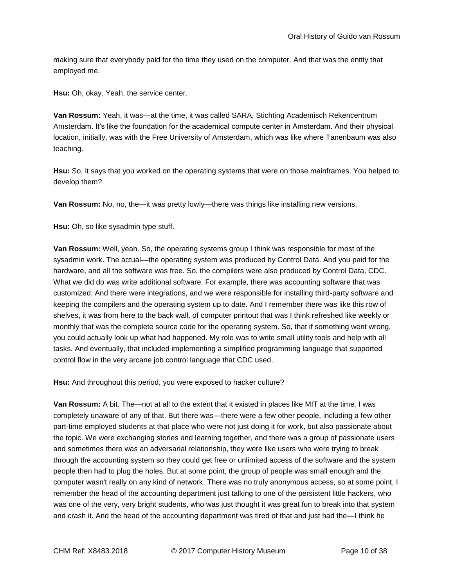making sure that everybody paid for the time they used on the computer. And that was the entity that employed me.

**Hsu:** Oh, okay. Yeah, the service center.

**Van Rossum:** Yeah, it was—at the time, it was called SARA, Stichting Academisch Rekencentrum Amsterdam. It's like the foundation for the academical compute center in Amsterdam. And their physical location, initially, was with the Free University of Amsterdam, which was like where Tanenbaum was also teaching.

**Hsu:** So, it says that you worked on the operating systems that were on those mainframes. You helped to develop them?

**Van Rossum:** No, no, the—it was pretty lowly—there was things like installing new versions.

**Hsu:** Oh, so like sysadmin type stuff.

**Van Rossum:** Well, yeah. So, the operating systems group I think was responsible for most of the sysadmin work. The actual—the operating system was produced by Control Data. And you paid for the hardware, and all the software was free. So, the compilers were also produced by Control Data, CDC. What we did do was write additional software. For example, there was accounting software that was customized. And there were integrations, and we were responsible for installing third-party software and keeping the compilers and the operating system up to date. And I remember there was like this row of shelves, it was from here to the back wall, of computer printout that was I think refreshed like weekly or monthly that was the complete source code for the operating system. So, that if something went wrong, you could actually look up what had happened. My role was to write small utility tools and help with all tasks. And eventually, that included implementing a simplified programming language that supported control flow in the very arcane job control language that CDC used.

**Hsu:** And throughout this period, you were exposed to hacker culture?

**Van Rossum:** A bit. The—not at all to the extent that it existed in places like MIT at the time. I was completely unaware of any of that. But there was—there were a few other people, including a few other part-time employed students at that place who were not just doing it for work, but also passionate about the topic. We were exchanging stories and learning together, and there was a group of passionate users and sometimes there was an adversarial relationship, they were like users who were trying to break through the accounting system so they could get free or unlimited access of the software and the system people then had to plug the holes. But at some point, the group of people was small enough and the computer wasn't really on any kind of network. There was no truly anonymous access, so at some point, I remember the head of the accounting department just talking to one of the persistent little hackers, who was one of the very, very bright students, who was just thought it was great fun to break into that system and crash it. And the head of the accounting department was tired of that and just had the—I think he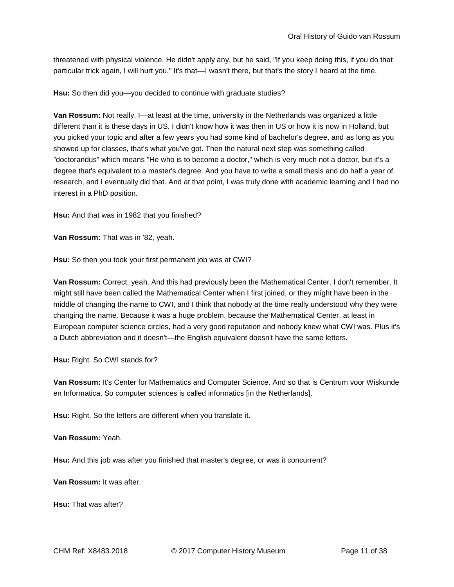threatened with physical violence. He didn't apply any, but he said, "If you keep doing this, if you do that particular trick again, I will hurt you." It's that—I wasn't there, but that's the story I heard at the time.

**Hsu:** So then did you—you decided to continue with graduate studies?

**Van Rossum:** Not really. I—at least at the time, university in the Netherlands was organized a little different than it is these days in US. I didn't know how it was then in US or how it is now in Holland, but you picked your topic and after a few years you had some kind of bachelor's degree, and as long as you showed up for classes, that's what you've got. Then the natural next step was something called "doctorandus" which means "He who is to become a doctor," which is very much not a doctor, but it's a degree that's equivalent to a master's degree. And you have to write a small thesis and do half a year of research, and I eventually did that. And at that point, I was truly done with academic learning and I had no interest in a PhD position.

**Hsu:** And that was in 1982 that you finished?

**Van Rossum:** That was in '82, yeah.

**Hsu:** So then you took your first permanent job was at CWI?

**Van Rossum:** Correct, yeah. And this had previously been the Mathematical Center. I don't remember. It might still have been called the Mathematical Center when I first joined, or they might have been in the middle of changing the name to CWI, and I think that nobody at the time really understood why they were changing the name. Because it was a huge problem, because the Mathematical Center, at least in European computer science circles, had a very good reputation and nobody knew what CWI was. Plus it's a Dutch abbreviation and it doesn't—the English equivalent doesn't have the same letters.

**Hsu:** Right. So CWI stands for?

**Van Rossum:** It's Center for Mathematics and Computer Science. And so that is Centrum voor Wiskunde en Informatica. So computer sciences is called informatics [in the Netherlands].

**Hsu:** Right. So the letters are different when you translate it.

**Van Rossum:** Yeah.

**Hsu:** And this job was after you finished that master's degree, or was it concurrent?

**Van Rossum:** It was after.

**Hsu:** That was after?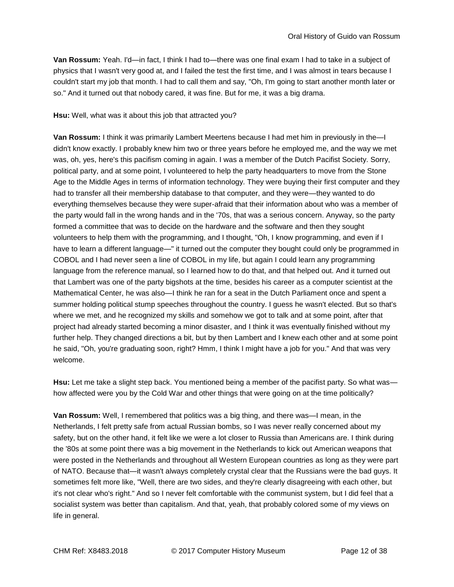**Van Rossum:** Yeah. I'd—in fact, I think I had to—there was one final exam I had to take in a subject of physics that I wasn't very good at, and I failed the test the first time, and I was almost in tears because I couldn't start my job that month. I had to call them and say, "Oh, I'm going to start another month later or so." And it turned out that nobody cared, it was fine. But for me, it was a big drama.

**Hsu:** Well, what was it about this job that attracted you?

**Van Rossum:** I think it was primarily Lambert Meertens because I had met him in previously in the—I didn't know exactly. I probably knew him two or three years before he employed me, and the way we met was, oh, yes, here's this pacifism coming in again. I was a member of the Dutch Pacifist Society. Sorry, political party, and at some point, I volunteered to help the party headquarters to move from the Stone Age to the Middle Ages in terms of information technology. They were buying their first computer and they had to transfer all their membership database to that computer, and they were—they wanted to do everything themselves because they were super-afraid that their information about who was a member of the party would fall in the wrong hands and in the '70s, that was a serious concern. Anyway, so the party formed a committee that was to decide on the hardware and the software and then they sought volunteers to help them with the programming, and I thought, "Oh, I know programming, and even if I have to learn a different language—" it turned out the computer they bought could only be programmed in COBOL and I had never seen a line of COBOL in my life, but again I could learn any programming language from the reference manual, so I learned how to do that, and that helped out. And it turned out that Lambert was one of the party bigshots at the time, besides his career as a computer scientist at the Mathematical Center, he was also—I think he ran for a seat in the Dutch Parliament once and spent a summer holding political stump speeches throughout the country. I guess he wasn't elected. But so that's where we met, and he recognized my skills and somehow we got to talk and at some point, after that project had already started becoming a minor disaster, and I think it was eventually finished without my further help. They changed directions a bit, but by then Lambert and I knew each other and at some point he said, "Oh, you're graduating soon, right? Hmm, I think I might have a job for you." And that was very welcome.

**Hsu:** Let me take a slight step back. You mentioned being a member of the pacifist party. So what was how affected were you by the Cold War and other things that were going on at the time politically?

**Van Rossum:** Well, I remembered that politics was a big thing, and there was—I mean, in the Netherlands, I felt pretty safe from actual Russian bombs, so I was never really concerned about my safety, but on the other hand, it felt like we were a lot closer to Russia than Americans are. I think during the '80s at some point there was a big movement in the Netherlands to kick out American weapons that were posted in the Netherlands and throughout all Western European countries as long as they were part of NATO. Because that—it wasn't always completely crystal clear that the Russians were the bad guys. It sometimes felt more like, "Well, there are two sides, and they're clearly disagreeing with each other, but it's not clear who's right." And so I never felt comfortable with the communist system, but I did feel that a socialist system was better than capitalism. And that, yeah, that probably colored some of my views on life in general.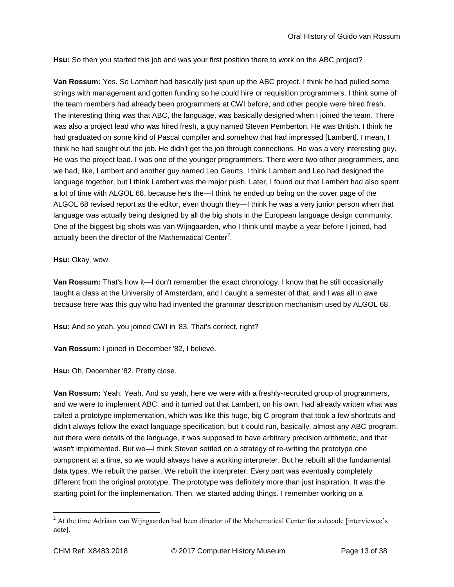**Hsu:** So then you started this job and was your first position there to work on the ABC project?

**Van Rossum:** Yes. So Lambert had basically just spun up the ABC project. I think he had pulled some strings with management and gotten funding so he could hire or requisition programmers. I think some of the team members had already been programmers at CWI before, and other people were hired fresh. The interesting thing was that ABC, the language, was basically designed when I joined the team. There was also a project lead who was hired fresh, a guy named Steven Pemberton. He was British. I think he had graduated on some kind of Pascal compiler and somehow that had impressed [Lambert]. I mean, I think he had sought out the job. He didn't get the job through connections. He was a very interesting guy. He was the project lead. I was one of the younger programmers. There were two other programmers, and we had, like, Lambert and another guy named Leo Geurts. I think Lambert and Leo had designed the language together, but I think Lambert was the major push. Later, I found out that Lambert had also spent a lot of time with ALGOL 68, because he's the—I think he ended up being on the cover page of the ALGOL 68 revised report as the editor, even though they—I think he was a very junior person when that language was actually being designed by all the big shots in the European language design community. One of the biggest big shots was van Wijngaarden, who I think until maybe a year before I joined, had actually been the director of the Mathematical Center<sup>2</sup>.

**Hsu:** Okay, wow.

**Van Rossum:** That's how it—I don't remember the exact chronology. I know that he still occasionally taught a class at the University of Amsterdam, and I caught a semester of that, and I was all in awe because here was this guy who had invented the grammar description mechanism used by ALGOL 68.

**Hsu:** And so yeah, you joined CWI in '83. That's correct, right?

**Van Rossum:** I joined in December '82, I believe.

**Hsu:** Oh, December '82. Pretty close.

**Van Rossum:** Yeah. Yeah. And so yeah, here we were with a freshly-recruited group of programmers, and we were to implement ABC, and it turned out that Lambert, on his own, had already written what was called a prototype implementation, which was like this huge, big C program that took a few shortcuts and didn't always follow the exact language specification, but it could run, basically, almost any ABC program, but there were details of the language, it was supposed to have arbitrary precision arithmetic, and that wasn't implemented. But we—I think Steven settled on a strategy of re-writing the prototype one component at a time, so we would always have a working interpreter. But he rebuilt all the fundamental data types. We rebuilt the parser. We rebuilt the interpreter. Every part was eventually completely different from the original prototype. The prototype was definitely more than just inspiration. It was the starting point for the implementation. Then, we started adding things. I remember working on a

<sup>&</sup>lt;sup>2</sup> At the time Adriaan van Wijngaarden had been director of the Mathematical Center for a decade [interviewee's note].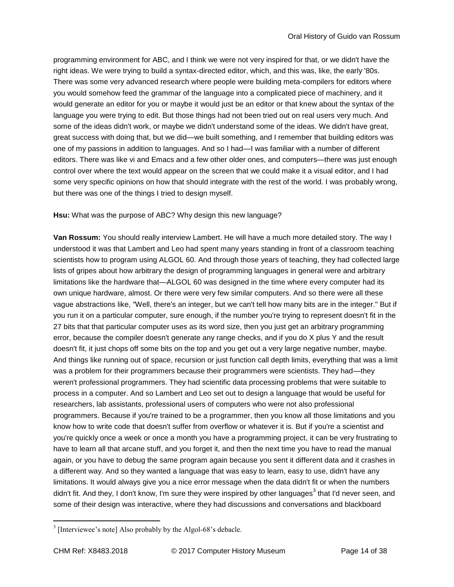programming environment for ABC, and I think we were not very inspired for that, or we didn't have the right ideas. We were trying to build a syntax-directed editor, which, and this was, like, the early '80s. There was some very advanced research where people were building meta-compilers for editors where you would somehow feed the grammar of the language into a complicated piece of machinery, and it would generate an editor for you or maybe it would just be an editor or that knew about the syntax of the language you were trying to edit. But those things had not been tried out on real users very much. And some of the ideas didn't work, or maybe we didn't understand some of the ideas. We didn't have great, great success with doing that, but we did—we built something, and I remember that building editors was one of my passions in addition to languages. And so I had—I was familiar with a number of different editors. There was like vi and Emacs and a few other older ones, and computers—there was just enough control over where the text would appear on the screen that we could make it a visual editor, and I had some very specific opinions on how that should integrate with the rest of the world. I was probably wrong, but there was one of the things I tried to design myself.

**Hsu:** What was the purpose of ABC? Why design this new language?

**Van Rossum:** You should really interview Lambert. He will have a much more detailed story. The way I understood it was that Lambert and Leo had spent many years standing in front of a classroom teaching scientists how to program using ALGOL 60. And through those years of teaching, they had collected large lists of gripes about how arbitrary the design of programming languages in general were and arbitrary limitations like the hardware that—ALGOL 60 was designed in the time where every computer had its own unique hardware, almost. Or there were very few similar computers. And so there were all these vague abstractions like, "Well, there's an integer, but we can't tell how many bits are in the integer." But if you run it on a particular computer, sure enough, if the number you're trying to represent doesn't fit in the 27 bits that that particular computer uses as its word size, then you just get an arbitrary programming error, because the compiler doesn't generate any range checks, and if you do X plus Y and the result doesn't fit, it just chops off some bits on the top and you get out a very large negative number, maybe. And things like running out of space, recursion or just function call depth limits, everything that was a limit was a problem for their programmers because their programmers were scientists. They had—they weren't professional programmers. They had scientific data processing problems that were suitable to process in a computer. And so Lambert and Leo set out to design a language that would be useful for researchers, lab assistants, professional users of computers who were not also professional programmers. Because if you're trained to be a programmer, then you know all those limitations and you know how to write code that doesn't suffer from overflow or whatever it is. But if you're a scientist and you're quickly once a week or once a month you have a programming project, it can be very frustrating to have to learn all that arcane stuff, and you forget it, and then the next time you have to read the manual again, or you have to debug the same program again because you sent it different data and it crashes in a different way. And so they wanted a language that was easy to learn, easy to use, didn't have any limitations. It would always give you a nice error message when the data didn't fit or when the numbers didn't fit. And they, I don't know, I'm sure they were inspired by other languages<sup>3</sup> that I'd never seen, and some of their design was interactive, where they had discussions and conversations and blackboard

 $3$  [Interviewee's note] Also probably by the Algol-68's debacle.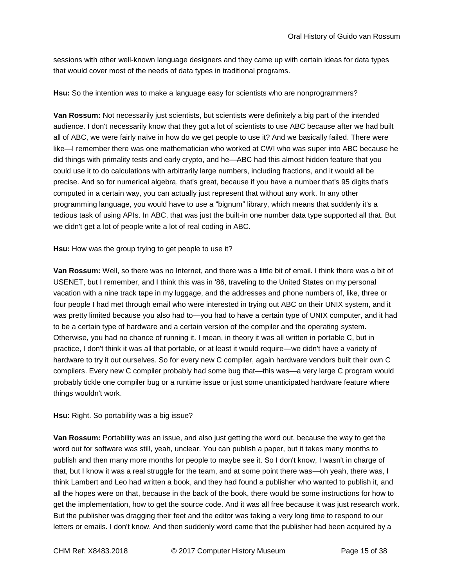sessions with other well-known language designers and they came up with certain ideas for data types that would cover most of the needs of data types in traditional programs.

**Hsu:** So the intention was to make a language easy for scientists who are nonprogrammers?

**Van Rossum:** Not necessarily just scientists, but scientists were definitely a big part of the intended audience. I don't necessarily know that they got a lot of scientists to use ABC because after we had built all of ABC, we were fairly naïve in how do we get people to use it? And we basically failed. There were like—I remember there was one mathematician who worked at CWI who was super into ABC because he did things with primality tests and early crypto, and he—ABC had this almost hidden feature that you could use it to do calculations with arbitrarily large numbers, including fractions, and it would all be precise. And so for numerical algebra, that's great, because if you have a number that's 95 digits that's computed in a certain way, you can actually just represent that without any work. In any other programming language, you would have to use a "bignum" library, which means that suddenly it's a tedious task of using APIs. In ABC, that was just the built-in one number data type supported all that. But we didn't get a lot of people write a lot of real coding in ABC.

**Hsu:** How was the group trying to get people to use it?

**Van Rossum:** Well, so there was no Internet, and there was a little bit of email. I think there was a bit of USENET, but I remember, and I think this was in '86, traveling to the United States on my personal vacation with a nine track tape in my luggage, and the addresses and phone numbers of, like, three or four people I had met through email who were interested in trying out ABC on their UNIX system, and it was pretty limited because you also had to—you had to have a certain type of UNIX computer, and it had to be a certain type of hardware and a certain version of the compiler and the operating system. Otherwise, you had no chance of running it. I mean, in theory it was all written in portable C, but in practice, I don't think it was all that portable, or at least it would require—we didn't have a variety of hardware to try it out ourselves. So for every new C compiler, again hardware vendors built their own C compilers. Every new C compiler probably had some bug that—this was—a very large C program would probably tickle one compiler bug or a runtime issue or just some unanticipated hardware feature where things wouldn't work.

## **Hsu:** Right. So portability was a big issue?

**Van Rossum:** Portability was an issue, and also just getting the word out, because the way to get the word out for software was still, yeah, unclear. You can publish a paper, but it takes many months to publish and then many more months for people to maybe see it. So I don't know, I wasn't in charge of that, but I know it was a real struggle for the team, and at some point there was—oh yeah, there was, I think Lambert and Leo had written a book, and they had found a publisher who wanted to publish it, and all the hopes were on that, because in the back of the book, there would be some instructions for how to get the implementation, how to get the source code. And it was all free because it was just research work. But the publisher was dragging their feet and the editor was taking a very long time to respond to our letters or emails. I don't know. And then suddenly word came that the publisher had been acquired by a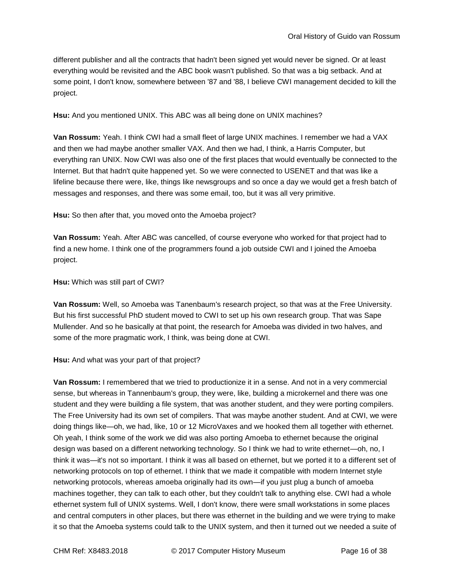different publisher and all the contracts that hadn't been signed yet would never be signed. Or at least everything would be revisited and the ABC book wasn't published. So that was a big setback. And at some point, I don't know, somewhere between '87 and '88, I believe CWI management decided to kill the project.

**Hsu:** And you mentioned UNIX. This ABC was all being done on UNIX machines?

**Van Rossum:** Yeah. I think CWI had a small fleet of large UNIX machines. I remember we had a VAX and then we had maybe another smaller VAX. And then we had, I think, a Harris Computer, but everything ran UNIX. Now CWI was also one of the first places that would eventually be connected to the Internet. But that hadn't quite happened yet. So we were connected to USENET and that was like a lifeline because there were, like, things like newsgroups and so once a day we would get a fresh batch of messages and responses, and there was some email, too, but it was all very primitive.

**Hsu:** So then after that, you moved onto the Amoeba project?

**Van Rossum:** Yeah. After ABC was cancelled, of course everyone who worked for that project had to find a new home. I think one of the programmers found a job outside CWI and I joined the Amoeba project.

**Hsu:** Which was still part of CWI?

**Van Rossum:** Well, so Amoeba was Tanenbaum's research project, so that was at the Free University. But his first successful PhD student moved to CWI to set up his own research group. That was Sape Mullender. And so he basically at that point, the research for Amoeba was divided in two halves, and some of the more pragmatic work, I think, was being done at CWI.

**Hsu:** And what was your part of that project?

**Van Rossum:** I remembered that we tried to productionize it in a sense. And not in a very commercial sense, but whereas in Tannenbaum's group, they were, like, building a microkernel and there was one student and they were building a file system, that was another student, and they were porting compilers. The Free University had its own set of compilers. That was maybe another student. And at CWI, we were doing things like—oh, we had, like, 10 or 12 MicroVaxes and we hooked them all together with ethernet. Oh yeah, I think some of the work we did was also porting Amoeba to ethernet because the original design was based on a different networking technology. So I think we had to write ethernet—oh, no, I think it was—it's not so important. I think it was all based on ethernet, but we ported it to a different set of networking protocols on top of ethernet. I think that we made it compatible with modern Internet style networking protocols, whereas amoeba originally had its own—if you just plug a bunch of amoeba machines together, they can talk to each other, but they couldn't talk to anything else. CWI had a whole ethernet system full of UNIX systems. Well, I don't know, there were small workstations in some places and central computers in other places, but there was ethernet in the building and we were trying to make it so that the Amoeba systems could talk to the UNIX system, and then it turned out we needed a suite of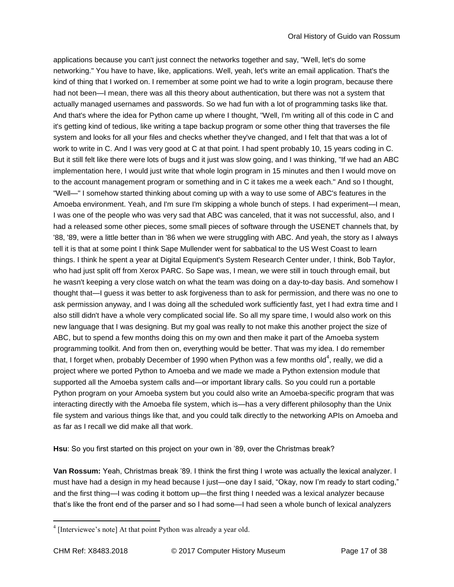applications because you can't just connect the networks together and say, "Well, let's do some networking." You have to have, like, applications. Well, yeah, let's write an email application. That's the kind of thing that I worked on. I remember at some point we had to write a login program, because there had not been—I mean, there was all this theory about authentication, but there was not a system that actually managed usernames and passwords. So we had fun with a lot of programming tasks like that. And that's where the idea for Python came up where I thought, "Well, I'm writing all of this code in C and it's getting kind of tedious, like writing a tape backup program or some other thing that traverses the file system and looks for all your files and checks whether they've changed, and I felt that that was a lot of work to write in C. And I was very good at C at that point. I had spent probably 10, 15 years coding in C. But it still felt like there were lots of bugs and it just was slow going, and I was thinking, "If we had an ABC implementation here, I would just write that whole login program in 15 minutes and then I would move on to the account management program or something and in C it takes me a week each." And so I thought, "Well—" I somehow started thinking about coming up with a way to use some of ABC's features in the Amoeba environment. Yeah, and I'm sure I'm skipping a whole bunch of steps. I had experiment—I mean, I was one of the people who was very sad that ABC was canceled, that it was not successful, also, and I had a released some other pieces, some small pieces of software through the USENET channels that, by '88, '89, were a little better than in '86 when we were struggling with ABC. And yeah, the story as I always tell it is that at some point I think Sape Mullender went for sabbatical to the US West Coast to learn things. I think he spent a year at Digital Equipment's System Research Center under, I think, Bob Taylor, who had just split off from Xerox PARC. So Sape was, I mean, we were still in touch through email, but he wasn't keeping a very close watch on what the team was doing on a day-to-day basis. And somehow I thought that—I guess it was better to ask forgiveness than to ask for permission, and there was no one to ask permission anyway, and I was doing all the scheduled work sufficiently fast, yet I had extra time and I also still didn't have a whole very complicated social life. So all my spare time, I would also work on this new language that I was designing. But my goal was really to not make this another project the size of ABC, but to spend a few months doing this on my own and then make it part of the Amoeba system programming toolkit. And from then on, everything would be better. That was my idea. I do remember that, I forget when, probably December of 1990 when Python was a few months old<sup>4</sup>, really, we did a project where we ported Python to Amoeba and we made we made a Python extension module that supported all the Amoeba system calls and—or important library calls. So you could run a portable Python program on your Amoeba system but you could also write an Amoeba-specific program that was interacting directly with the Amoeba file system, which is—has a very different philosophy than the Unix file system and various things like that, and you could talk directly to the networking APIs on Amoeba and as far as I recall we did make all that work.

**Hsu**: So you first started on this project on your own in '89, over the Christmas break?

**Van Rossum:** Yeah, Christmas break '89. I think the first thing I wrote was actually the lexical analyzer. I must have had a design in my head because I just—one day I said, "Okay, now I'm ready to start coding," and the first thing—I was coding it bottom up—the first thing I needed was a lexical analyzer because that's like the front end of the parser and so I had some—I had seen a whole bunch of lexical analyzers

<sup>&</sup>lt;sup>4</sup> [Interviewee's note] At that point Python was already a year old.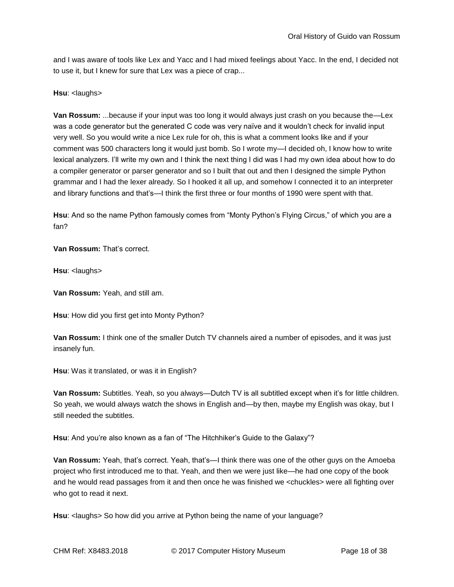and I was aware of tools like Lex and Yacc and I had mixed feelings about Yacc. In the end, I decided not to use it, but I knew for sure that Lex was a piece of crap...

**Hsu: <laughs>** 

**Van Rossum:** ...because if your input was too long it would always just crash on you because the—Lex was a code generator but the generated C code was very naïve and it wouldn't check for invalid input very well. So you would write a nice Lex rule for oh, this is what a comment looks like and if your comment was 500 characters long it would just bomb. So I wrote my—I decided oh, I know how to write lexical analyzers. I'll write my own and I think the next thing I did was I had my own idea about how to do a compiler generator or parser generator and so I built that out and then I designed the simple Python grammar and I had the lexer already. So I hooked it all up, and somehow I connected it to an interpreter and library functions and that's—I think the first three or four months of 1990 were spent with that.

**Hsu**: And so the name Python famously comes from "Monty Python's Flying Circus," of which you are a fan?

**Van Rossum:** That's correct.

**Hsu: <laughs>** 

**Van Rossum:** Yeah, and still am.

**Hsu**: How did you first get into Monty Python?

**Van Rossum:** I think one of the smaller Dutch TV channels aired a number of episodes, and it was just insanely fun.

**Hsu**: Was it translated, or was it in English?

**Van Rossum:** Subtitles. Yeah, so you always—Dutch TV is all subtitled except when it's for little children. So yeah, we would always watch the shows in English and—by then, maybe my English was okay, but I still needed the subtitles.

**Hsu**: And you're also known as a fan of "The Hitchhiker's Guide to the Galaxy"?

**Van Rossum:** Yeah, that's correct. Yeah, that's—I think there was one of the other guys on the Amoeba project who first introduced me to that. Yeah, and then we were just like—he had one copy of the book and he would read passages from it and then once he was finished we <chuckles> were all fighting over who got to read it next.

**Hsu**: <laughs> So how did you arrive at Python being the name of your language?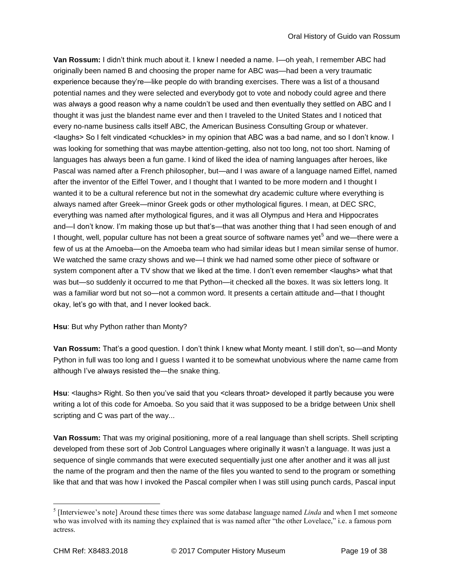**Van Rossum:** I didn't think much about it. I knew I needed a name. I—oh yeah, I remember ABC had originally been named B and choosing the proper name for ABC was—had been a very traumatic experience because they're—like people do with branding exercises. There was a list of a thousand potential names and they were selected and everybody got to vote and nobody could agree and there was always a good reason why a name couldn't be used and then eventually they settled on ABC and I thought it was just the blandest name ever and then I traveled to the United States and I noticed that every no-name business calls itself ABC, the American Business Consulting Group or whatever. <laughs> So I felt vindicated <chuckles> in my opinion that ABC was a bad name, and so I don't know. I was looking for something that was maybe attention-getting, also not too long, not too short. Naming of languages has always been a fun game. I kind of liked the idea of naming languages after heroes, like Pascal was named after a French philosopher, but—and I was aware of a language named Eiffel, named after the inventor of the Eiffel Tower, and I thought that I wanted to be more modern and I thought I wanted it to be a cultural reference but not in the somewhat dry academic culture where everything is always named after Greek—minor Greek gods or other mythological figures. I mean, at DEC SRC, everything was named after mythological figures, and it was all Olympus and Hera and Hippocrates and—I don't know. I'm making those up but that's—that was another thing that I had seen enough of and I thought, well, popular culture has not been a great source of software names yet<sup>5</sup> and we—there were a few of us at the Amoeba—on the Amoeba team who had similar ideas but I mean similar sense of humor. We watched the same crazy shows and we—I think we had named some other piece of software or system component after a TV show that we liked at the time. I don't even remember <laughs> what that was but—so suddenly it occurred to me that Python—it checked all the boxes. It was six letters long. It was a familiar word but not so—not a common word. It presents a certain attitude and—that I thought okay, let's go with that, and I never looked back.

# **Hsu**: But why Python rather than Monty?

**Van Rossum:** That's a good question. I don't think I knew what Monty meant. I still don't, so—and Monty Python in full was too long and I guess I wanted it to be somewhat unobvious where the name came from although I've always resisted the—the snake thing.

Hsu: <laughs> Right. So then you've said that you <clears throat> developed it partly because you were writing a lot of this code for Amoeba. So you said that it was supposed to be a bridge between Unix shell scripting and C was part of the way...

**Van Rossum:** That was my original positioning, more of a real language than shell scripts. Shell scripting developed from these sort of Job Control Languages where originally it wasn't a language. It was just a sequence of single commands that were executed sequentially just one after another and it was all just the name of the program and then the name of the files you wanted to send to the program or something like that and that was how I invoked the Pascal compiler when I was still using punch cards, Pascal input

<sup>&</sup>lt;sup>5</sup> [Interviewee's note] Around these times there was some database language named *Linda* and when I met someone who was involved with its naming they explained that is was named after "the other Lovelace," i.e. a famous porn actress.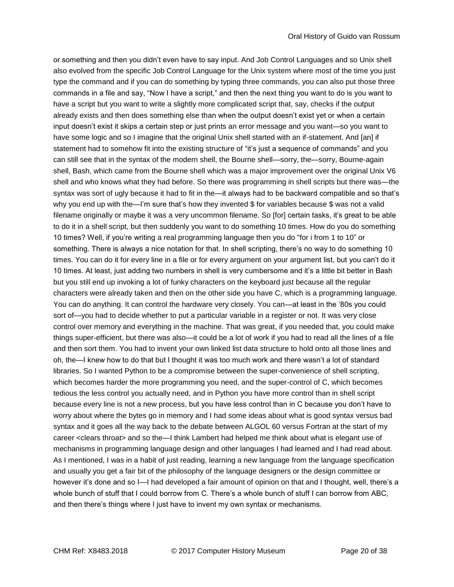or something and then you didn't even have to say input. And Job Control Languages and so Unix shell also evolved from the specific Job Control Language for the Unix system where most of the time you just type the command and if you can do something by typing three commands, you can also put those three commands in a file and say, "Now I have a script," and then the next thing you want to do is you want to have a script but you want to write a slightly more complicated script that, say, checks if the output already exists and then does something else than when the output doesn't exist yet or when a certain input doesn't exist it skips a certain step or just prints an error message and you want—so you want to have some logic and so I imagine that the original Unix shell started with an if-statement. And [an] if statement had to somehow fit into the existing structure of "it's just a sequence of commands" and you can still see that in the syntax of the modern shell, the Bourne shell—sorry, the—sorry, Bourne-again shell, Bash, which came from the Bourne shell which was a major improvement over the original Unix V6 shell and who knows what they had before. So there was programming in shell scripts but there was—the syntax was sort of ugly because it had to fit in the—it always had to be backward compatible and so that's why you end up with the—I'm sure that's how they invented \$ for variables because \$ was not a valid filename originally or maybe it was a very uncommon filename. So [for] certain tasks, it's great to be able to do it in a shell script, but then suddenly you want to do something 10 times. How do you do something 10 times? Well, if you're writing a real programming language then you do "for i from 1 to 10" or something. There is always a nice notation for that. In shell scripting, there's no way to do something 10 times. You can do it for every line in a file or for every argument on your argument list, but you can't do it 10 times. At least, just adding two numbers in shell is very cumbersome and it's a little bit better in Bash but you still end up invoking a lot of funky characters on the keyboard just because all the regular characters were already taken and then on the other side you have C, which is a programming language. You can do anything. It can control the hardware very closely. You can—at least in the '80s you could sort of—you had to decide whether to put a particular variable in a register or not. It was very close control over memory and everything in the machine. That was great, if you needed that, you could make things super-efficient, but there was also—it could be a lot of work if you had to read all the lines of a file and then sort them. You had to invent your own linked list data structure to hold onto all those lines and oh, the—I knew how to do that but I thought it was too much work and there wasn't a lot of standard libraries. So I wanted Python to be a compromise between the super-convenience of shell scripting, which becomes harder the more programming you need, and the super-control of C, which becomes tedious the less control you actually need, and in Python you have more control than in shell script because every line is not a new process, but you have less control than in C because you don't have to worry about where the bytes go in memory and I had some ideas about what is good syntax versus bad syntax and it goes all the way back to the debate between ALGOL 60 versus Fortran at the start of my career <clears throat> and so the—I think Lambert had helped me think about what is elegant use of mechanisms in programming language design and other languages I had learned and I had read about. As I mentioned, I was in a habit of just reading, learning a new language from the language specification and usually you get a fair bit of the philosophy of the language designers or the design committee or however it's done and so I—I had developed a fair amount of opinion on that and I thought, well, there's a whole bunch of stuff that I could borrow from C. There's a whole bunch of stuff I can borrow from ABC, and then there's things where I just have to invent my own syntax or mechanisms.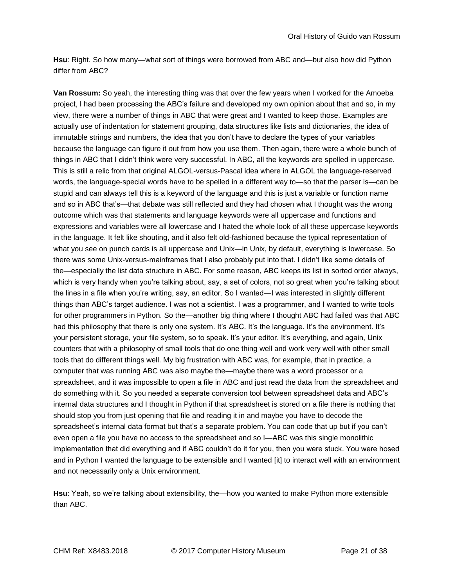**Hsu**: Right. So how many—what sort of things were borrowed from ABC and—but also how did Python differ from ABC?

**Van Rossum:** So yeah, the interesting thing was that over the few years when I worked for the Amoeba project, I had been processing the ABC's failure and developed my own opinion about that and so, in my view, there were a number of things in ABC that were great and I wanted to keep those. Examples are actually use of indentation for statement grouping, data structures like lists and dictionaries, the idea of immutable strings and numbers, the idea that you don't have to declare the types of your variables because the language can figure it out from how you use them. Then again, there were a whole bunch of things in ABC that I didn't think were very successful. In ABC, all the keywords are spelled in uppercase. This is still a relic from that original ALGOL-versus-Pascal idea where in ALGOL the language-reserved words, the language-special words have to be spelled in a different way to—so that the parser is—can be stupid and can always tell this is a keyword of the language and this is just a variable or function name and so in ABC that's—that debate was still reflected and they had chosen what I thought was the wrong outcome which was that statements and language keywords were all uppercase and functions and expressions and variables were all lowercase and I hated the whole look of all these uppercase keywords in the language. It felt like shouting, and it also felt old-fashioned because the typical representation of what you see on punch cards is all uppercase and Unix—in Unix, by default, everything is lowercase. So there was some Unix-versus-mainframes that I also probably put into that. I didn't like some details of the—especially the list data structure in ABC. For some reason, ABC keeps its list in sorted order always, which is very handy when you're talking about, say, a set of colors, not so great when you're talking about the lines in a file when you're writing, say, an editor. So I wanted—I was interested in slightly different things than ABC's target audience. I was not a scientist. I was a programmer, and I wanted to write tools for other programmers in Python. So the—another big thing where I thought ABC had failed was that ABC had this philosophy that there is only one system. It's ABC. It's the language. It's the environment. It's your persistent storage, your file system, so to speak. It's your editor. It's everything, and again, Unix counters that with a philosophy of small tools that do one thing well and work very well with other small tools that do different things well. My big frustration with ABC was, for example, that in practice, a computer that was running ABC was also maybe the—maybe there was a word processor or a spreadsheet, and it was impossible to open a file in ABC and just read the data from the spreadsheet and do something with it. So you needed a separate conversion tool between spreadsheet data and ABC's internal data structures and I thought in Python if that spreadsheet is stored on a file there is nothing that should stop you from just opening that file and reading it in and maybe you have to decode the spreadsheet's internal data format but that's a separate problem. You can code that up but if you can't even open a file you have no access to the spreadsheet and so I—ABC was this single monolithic implementation that did everything and if ABC couldn't do it for you, then you were stuck. You were hosed and in Python I wanted the language to be extensible and I wanted [it] to interact well with an environment and not necessarily only a Unix environment.

**Hsu**: Yeah, so we're talking about extensibility, the—how you wanted to make Python more extensible than ABC.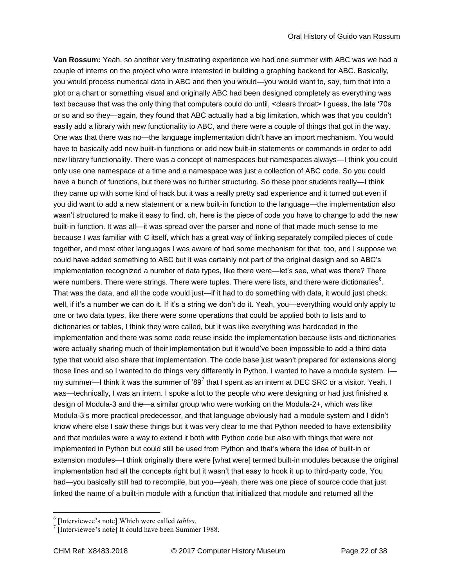**Van Rossum:** Yeah, so another very frustrating experience we had one summer with ABC was we had a couple of interns on the project who were interested in building a graphing backend for ABC. Basically, you would process numerical data in ABC and then you would—you would want to, say, turn that into a plot or a chart or something visual and originally ABC had been designed completely as everything was text because that was the only thing that computers could do until, <clears throat> I guess, the late '70s or so and so they—again, they found that ABC actually had a big limitation, which was that you couldn't easily add a library with new functionality to ABC, and there were a couple of things that got in the way. One was that there was no—the language implementation didn't have an import mechanism. You would have to basically add new built-in functions or add new built-in statements or commands in order to add new library functionality. There was a concept of namespaces but namespaces always—I think you could only use one namespace at a time and a namespace was just a collection of ABC code. So you could have a bunch of functions, but there was no further structuring. So these poor students really—I think they came up with some kind of hack but it was a really pretty sad experience and it turned out even if you did want to add a new statement or a new built-in function to the language—the implementation also wasn't structured to make it easy to find, oh, here is the piece of code you have to change to add the new built-in function. It was all—it was spread over the parser and none of that made much sense to me because I was familiar with C itself, which has a great way of linking separately compiled pieces of code together, and most other languages I was aware of had some mechanism for that, too, and I suppose we could have added something to ABC but it was certainly not part of the original design and so ABC's implementation recognized a number of data types, like there were—let's see, what was there? There were numbers. There were strings. There were tuples. There were lists, and there were dictionaries<sup>6</sup>. That was the data, and all the code would just—if it had to do something with data, it would just check, well, if it's a number we can do it. If it's a string we don't do it. Yeah, you—everything would only apply to one or two data types, like there were some operations that could be applied both to lists and to dictionaries or tables, I think they were called, but it was like everything was hardcoded in the implementation and there was some code reuse inside the implementation because lists and dictionaries were actually sharing much of their implementation but it would've been impossible to add a third data type that would also share that implementation. The code base just wasn't prepared for extensions along those lines and so I wanted to do things very differently in Python. I wanted to have a module system. I my summer—I think it was the summer of '89<sup>7</sup> that I spent as an intern at DEC SRC or a visitor. Yeah, I was—technically, I was an intern. I spoke a lot to the people who were designing or had just finished a design of Modula-3 and the—a similar group who were working on the Modula-2+, which was like Modula-3's more practical predecessor, and that language obviously had a module system and I didn't know where else I saw these things but it was very clear to me that Python needed to have extensibility and that modules were a way to extend it both with Python code but also with things that were not implemented in Python but could still be used from Python and that's where the idea of built-in or extension modules—I think originally there were [what were] termed built-in modules because the original implementation had all the concepts right but it wasn't that easy to hook it up to third-party code. You had—you basically still had to recompile, but you—yeah, there was one piece of source code that just linked the name of a built-in module with a function that initialized that module and returned all the

<sup>6</sup> [Interviewee's note] Which were called *tables*.

 $\sqrt{7}$  [Interviewee's note] It could have been Summer 1988.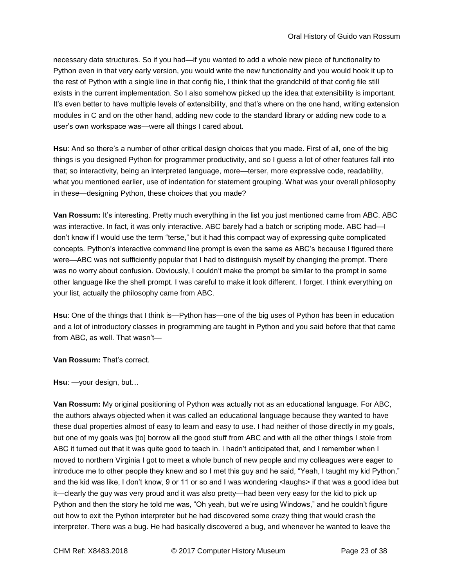necessary data structures. So if you had—if you wanted to add a whole new piece of functionality to Python even in that very early version, you would write the new functionality and you would hook it up to the rest of Python with a single line in that config file, I think that the grandchild of that config file still exists in the current implementation. So I also somehow picked up the idea that extensibility is important. It's even better to have multiple levels of extensibility, and that's where on the one hand, writing extension modules in C and on the other hand, adding new code to the standard library or adding new code to a user's own workspace was—were all things I cared about.

**Hsu**: And so there's a number of other critical design choices that you made. First of all, one of the big things is you designed Python for programmer productivity, and so I guess a lot of other features fall into that; so interactivity, being an interpreted language, more—terser, more expressive code, readability, what you mentioned earlier, use of indentation for statement grouping. What was your overall philosophy in these—designing Python, these choices that you made?

**Van Rossum:** It's interesting. Pretty much everything in the list you just mentioned came from ABC. ABC was interactive. In fact, it was only interactive. ABC barely had a batch or scripting mode. ABC had—I don't know if I would use the term "terse," but it had this compact way of expressing quite complicated concepts. Python's interactive command line prompt is even the same as ABC's because I figured there were—ABC was not sufficiently popular that I had to distinguish myself by changing the prompt. There was no worry about confusion. Obviously, I couldn't make the prompt be similar to the prompt in some other language like the shell prompt. I was careful to make it look different. I forget. I think everything on your list, actually the philosophy came from ABC.

**Hsu**: One of the things that I think is—Python has—one of the big uses of Python has been in education and a lot of introductory classes in programming are taught in Python and you said before that that came from ABC, as well. That wasn't—

**Van Rossum:** That's correct.

**Hsu**: —your design, but…

**Van Rossum:** My original positioning of Python was actually not as an educational language. For ABC, the authors always objected when it was called an educational language because they wanted to have these dual properties almost of easy to learn and easy to use. I had neither of those directly in my goals, but one of my goals was [to] borrow all the good stuff from ABC and with all the other things I stole from ABC it turned out that it was quite good to teach in. I hadn't anticipated that, and I remember when I moved to northern Virginia I got to meet a whole bunch of new people and my colleagues were eager to introduce me to other people they knew and so I met this guy and he said, "Yeah, I taught my kid Python," and the kid was like, I don't know, 9 or 11 or so and I was wondering <laughs> if that was a good idea but it—clearly the guy was very proud and it was also pretty—had been very easy for the kid to pick up Python and then the story he told me was, "Oh yeah, but we're using Windows," and he couldn't figure out how to exit the Python interpreter but he had discovered some crazy thing that would crash the interpreter. There was a bug. He had basically discovered a bug, and whenever he wanted to leave the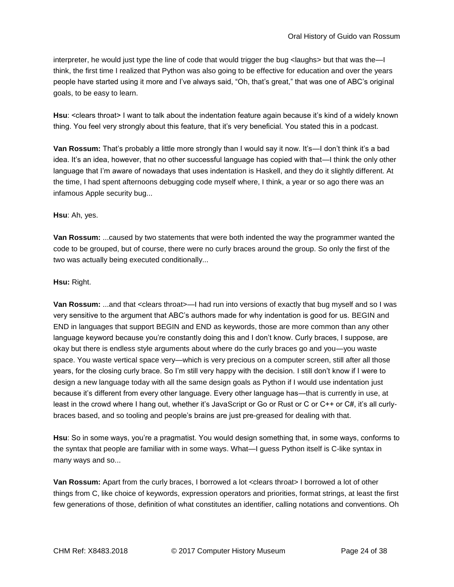interpreter, he would just type the line of code that would trigger the bug <laughs> but that was the—I think, the first time I realized that Python was also going to be effective for education and over the years people have started using it more and I've always said, "Oh, that's great," that was one of ABC's original goals, to be easy to learn.

**Hsu**: <clears throat> I want to talk about the indentation feature again because it's kind of a widely known thing. You feel very strongly about this feature, that it's very beneficial. You stated this in a podcast.

**Van Rossum:** That's probably a little more strongly than I would say it now. It's—I don't think it's a bad idea. It's an idea, however, that no other successful language has copied with that—I think the only other language that I'm aware of nowadays that uses indentation is Haskell, and they do it slightly different. At the time, I had spent afternoons debugging code myself where, I think, a year or so ago there was an infamous Apple security bug...

# **Hsu**: Ah, yes.

**Van Rossum:** ...caused by two statements that were both indented the way the programmer wanted the code to be grouped, but of course, there were no curly braces around the group. So only the first of the two was actually being executed conditionally...

# **Hsu:** Right.

**Van Rossum:** ...and that <clears throat>—I had run into versions of exactly that bug myself and so I was very sensitive to the argument that ABC's authors made for why indentation is good for us. BEGIN and END in languages that support BEGIN and END as keywords, those are more common than any other language keyword because you're constantly doing this and I don't know. Curly braces, I suppose, are okay but there is endless style arguments about where do the curly braces go and you—you waste space. You waste vertical space very—which is very precious on a computer screen, still after all those years, for the closing curly brace. So I'm still very happy with the decision. I still don't know if I were to design a new language today with all the same design goals as Python if I would use indentation just because it's different from every other language. Every other language has—that is currently in use, at least in the crowd where I hang out, whether it's JavaScript or Go or Rust or C or C++ or C#, it's all curlybraces based, and so tooling and people's brains are just pre-greased for dealing with that.

**Hsu**: So in some ways, you're a pragmatist. You would design something that, in some ways, conforms to the syntax that people are familiar with in some ways. What—I guess Python itself is C-like syntax in many ways and so...

**Van Rossum:** Apart from the curly braces, I borrowed a lot <clears throat> I borrowed a lot of other things from C, like choice of keywords, expression operators and priorities, format strings, at least the first few generations of those, definition of what constitutes an identifier, calling notations and conventions. Oh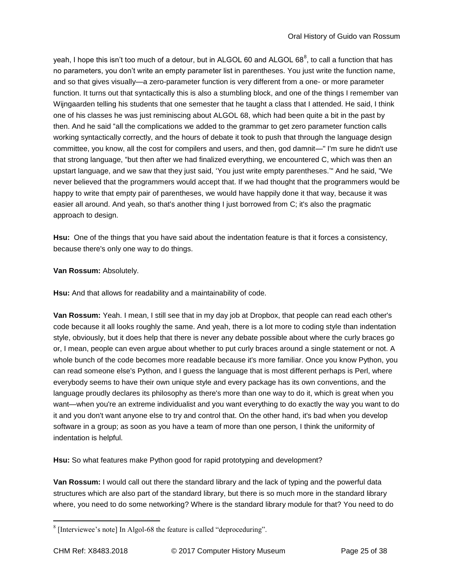yeah, I hope this isn't too much of a detour, but in ALGOL 60 and ALGOL 68<sup>8</sup>, to call a function that has no parameters, you don't write an empty parameter list in parentheses. You just write the function name, and so that gives visually—a zero-parameter function is very different from a one- or more parameter function. It turns out that syntactically this is also a stumbling block, and one of the things I remember van Wijngaarden telling his students that one semester that he taught a class that I attended. He said, I think one of his classes he was just reminiscing about ALGOL 68, which had been quite a bit in the past by then. And he said "all the complications we added to the grammar to get zero parameter function calls working syntactically correctly, and the hours of debate it took to push that through the language design committee, you know, all the cost for compilers and users, and then, god damnit—" I'm sure he didn't use that strong language, "but then after we had finalized everything, we encountered C, which was then an upstart language, and we saw that they just said, 'You just write empty parentheses.'" And he said, "We never believed that the programmers would accept that. If we had thought that the programmers would be happy to write that empty pair of parentheses, we would have happily done it that way, because it was easier all around. And yeah, so that's another thing I just borrowed from C; it's also the pragmatic approach to design.

**Hsu:** One of the things that you have said about the indentation feature is that it forces a consistency, because there's only one way to do things.

# **Van Rossum:** Absolutely.

**Hsu:** And that allows for readability and a maintainability of code.

**Van Rossum:** Yeah. I mean, I still see that in my day job at Dropbox, that people can read each other's code because it all looks roughly the same. And yeah, there is a lot more to coding style than indentation style, obviously, but it does help that there is never any debate possible about where the curly braces go or, I mean, people can even argue about whether to put curly braces around a single statement or not. A whole bunch of the code becomes more readable because it's more familiar. Once you know Python, you can read someone else's Python, and I guess the language that is most different perhaps is Perl, where everybody seems to have their own unique style and every package has its own conventions, and the language proudly declares its philosophy as there's more than one way to do it, which is great when you want—when you're an extreme individualist and you want everything to do exactly the way you want to do it and you don't want anyone else to try and control that. On the other hand, it's bad when you develop software in a group; as soon as you have a team of more than one person, I think the uniformity of indentation is helpful.

**Hsu:** So what features make Python good for rapid prototyping and development?

**Van Rossum:** I would call out there the standard library and the lack of typing and the powerful data structures which are also part of the standard library, but there is so much more in the standard library where, you need to do some networking? Where is the standard library module for that? You need to do

 $8$  [Interviewee's note] In Algol-68 the feature is called "deproceduring".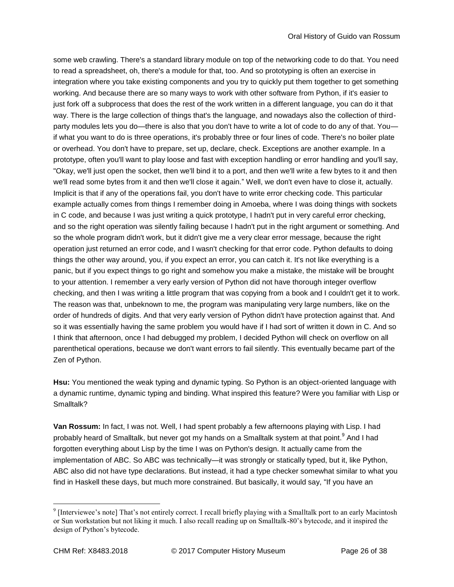some web crawling. There's a standard library module on top of the networking code to do that. You need to read a spreadsheet, oh, there's a module for that, too. And so prototyping is often an exercise in integration where you take existing components and you try to quickly put them together to get something working. And because there are so many ways to work with other software from Python, if it's easier to just fork off a subprocess that does the rest of the work written in a different language, you can do it that way. There is the large collection of things that's the language, and nowadays also the collection of thirdparty modules lets you do—there is also that you don't have to write a lot of code to do any of that. You if what you want to do is three operations, it's probably three or four lines of code. There's no boiler plate or overhead. You don't have to prepare, set up, declare, check. Exceptions are another example. In a prototype, often you'll want to play loose and fast with exception handling or error handling and you'll say, "Okay, we'll just open the socket, then we'll bind it to a port, and then we'll write a few bytes to it and then we'll read some bytes from it and then we'll close it again." Well, we don't even have to close it, actually. Implicit is that if any of the operations fail, you don't have to write error checking code. This particular example actually comes from things I remember doing in Amoeba, where I was doing things with sockets in C code, and because I was just writing a quick prototype, I hadn't put in very careful error checking, and so the right operation was silently failing because I hadn't put in the right argument or something. And so the whole program didn't work, but it didn't give me a very clear error message, because the right operation just returned an error code, and I wasn't checking for that error code. Python defaults to doing things the other way around, you, if you expect an error, you can catch it. It's not like everything is a panic, but if you expect things to go right and somehow you make a mistake, the mistake will be brought to your attention. I remember a very early version of Python did not have thorough integer overflow checking, and then I was writing a little program that was copying from a book and I couldn't get it to work. The reason was that, unbeknown to me, the program was manipulating very large numbers, like on the order of hundreds of digits. And that very early version of Python didn't have protection against that. And so it was essentially having the same problem you would have if I had sort of written it down in C. And so I think that afternoon, once I had debugged my problem, I decided Python will check on overflow on all parenthetical operations, because we don't want errors to fail silently. This eventually became part of the Zen of Python.

**Hsu:** You mentioned the weak typing and dynamic typing. So Python is an object-oriented language with a dynamic runtime, dynamic typing and binding. What inspired this feature? Were you familiar with Lisp or Smalltalk?

**Van Rossum:** In fact, I was not. Well, I had spent probably a few afternoons playing with Lisp. I had probably heard of Smalltalk, but never got my hands on a Smalltalk system at that point.<sup>9</sup> And I had forgotten everything about Lisp by the time I was on Python's design. It actually came from the implementation of ABC. So ABC was technically—it was strongly or statically typed, but it, like Python, ABC also did not have type declarations. But instead, it had a type checker somewhat similar to what you find in Haskell these days, but much more constrained. But basically, it would say, "If you have an

<sup>&</sup>lt;sup>9</sup> [Interviewee's note] That's not entirely correct. I recall briefly playing with a Smalltalk port to an early Macintosh or Sun workstation but not liking it much. I also recall reading up on Smalltalk-80's bytecode, and it inspired the design of Python's bytecode.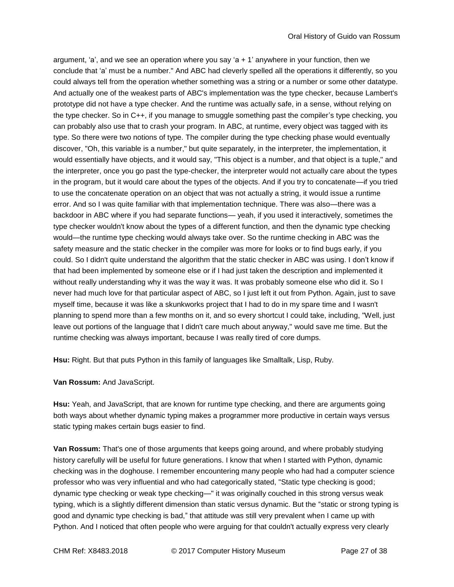argument, 'a', and we see an operation where you say 'a  $+1'$  anywhere in your function, then we conclude that 'a' must be a number." And ABC had cleverly spelled all the operations it differently, so you could always tell from the operation whether something was a string or a number or some other datatype. And actually one of the weakest parts of ABC's implementation was the type checker, because Lambert's prototype did not have a type checker. And the runtime was actually safe, in a sense, without relying on the type checker. So in C++, if you manage to smuggle something past the compiler's type checking, you can probably also use that to crash your program. In ABC, at runtime, every object was tagged with its type. So there were two notions of type. The compiler during the type checking phase would eventually discover, "Oh, this variable is a number," but quite separately, in the interpreter, the implementation, it would essentially have objects, and it would say, "This object is a number, and that object is a tuple," and the interpreter, once you go past the type-checker, the interpreter would not actually care about the types in the program, but it would care about the types of the objects. And if you try to concatenate—if you tried to use the concatenate operation on an object that was not actually a string, it would issue a runtime error. And so I was quite familiar with that implementation technique. There was also—there was a backdoor in ABC where if you had separate functions— yeah, if you used it interactively, sometimes the type checker wouldn't know about the types of a different function, and then the dynamic type checking would—the runtime type checking would always take over. So the runtime checking in ABC was the safety measure and the static checker in the compiler was more for looks or to find bugs early, if you could. So I didn't quite understand the algorithm that the static checker in ABC was using. I don't know if that had been implemented by someone else or if I had just taken the description and implemented it without really understanding why it was the way it was. It was probably someone else who did it. So I never had much love for that particular aspect of ABC, so I just left it out from Python. Again, just to save myself time, because it was like a skunkworks project that I had to do in my spare time and I wasn't planning to spend more than a few months on it, and so every shortcut I could take, including, "Well, just leave out portions of the language that I didn't care much about anyway," would save me time. But the runtime checking was always important, because I was really tired of core dumps.

**Hsu:** Right. But that puts Python in this family of languages like Smalltalk, Lisp, Ruby.

## **Van Rossum:** And JavaScript.

**Hsu:** Yeah, and JavaScript, that are known for runtime type checking, and there are arguments going both ways about whether dynamic typing makes a programmer more productive in certain ways versus static typing makes certain bugs easier to find.

**Van Rossum:** That's one of those arguments that keeps going around, and where probably studying history carefully will be useful for future generations. I know that when I started with Python, dynamic checking was in the doghouse. I remember encountering many people who had had a computer science professor who was very influential and who had categorically stated, "Static type checking is good; dynamic type checking or weak type checking—" it was originally couched in this strong versus weak typing, which is a slightly different dimension than static versus dynamic. But the "static or strong typing is good and dynamic type checking is bad," that attitude was still very prevalent when I came up with Python. And I noticed that often people who were arguing for that couldn't actually express very clearly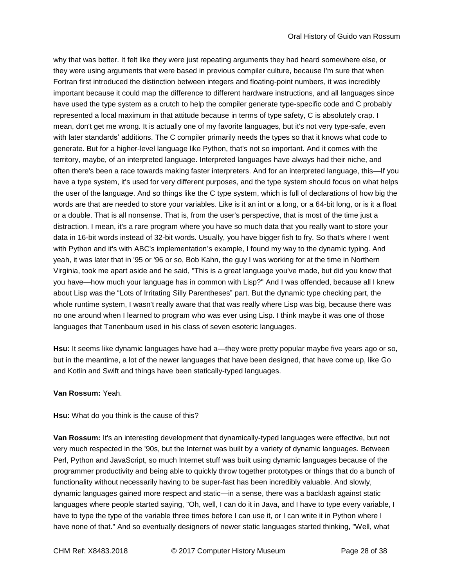why that was better. It felt like they were just repeating arguments they had heard somewhere else, or they were using arguments that were based in previous compiler culture, because I'm sure that when Fortran first introduced the distinction between integers and floating-point numbers, it was incredibly important because it could map the difference to different hardware instructions, and all languages since have used the type system as a crutch to help the compiler generate type-specific code and C probably represented a local maximum in that attitude because in terms of type safety, C is absolutely crap. I mean, don't get me wrong. It is actually one of my favorite languages, but it's not very type-safe, even with later standards' additions. The C compiler primarily needs the types so that it knows what code to generate. But for a higher-level language like Python, that's not so important. And it comes with the territory, maybe, of an interpreted language. Interpreted languages have always had their niche, and often there's been a race towards making faster interpreters. And for an interpreted language, this—If you have a type system, it's used for very different purposes, and the type system should focus on what helps the user of the language. And so things like the C type system, which is full of declarations of how big the words are that are needed to store your variables. Like is it an int or a long, or a 64-bit long, or is it a float or a double. That is all nonsense. That is, from the user's perspective, that is most of the time just a distraction. I mean, it's a rare program where you have so much data that you really want to store your data in 16-bit words instead of 32-bit words. Usually, you have bigger fish to fry. So that's where I went with Python and it's with ABC's implementation's example, I found my way to the dynamic typing. And yeah, it was later that in '95 or '96 or so, Bob Kahn, the guy I was working for at the time in Northern Virginia, took me apart aside and he said, "This is a great language you've made, but did you know that you have—how much your language has in common with Lisp?" And I was offended, because all I knew about Lisp was the "Lots of Irritating Silly Parentheses" part. But the dynamic type checking part, the whole runtime system, I wasn't really aware that that was really where Lisp was big, because there was no one around when I learned to program who was ever using Lisp. I think maybe it was one of those languages that Tanenbaum used in his class of seven esoteric languages.

**Hsu:** It seems like dynamic languages have had a—they were pretty popular maybe five years ago or so, but in the meantime, a lot of the newer languages that have been designed, that have come up, like Go and Kotlin and Swift and things have been statically-typed languages.

## **Van Rossum:** Yeah.

## **Hsu:** What do you think is the cause of this?

**Van Rossum:** It's an interesting development that dynamically-typed languages were effective, but not very much respected in the '90s, but the Internet was built by a variety of dynamic languages. Between Perl, Python and JavaScript, so much Internet stuff was built using dynamic languages because of the programmer productivity and being able to quickly throw together prototypes or things that do a bunch of functionality without necessarily having to be super-fast has been incredibly valuable. And slowly, dynamic languages gained more respect and static—in a sense, there was a backlash against static languages where people started saying, "Oh, well, I can do it in Java, and I have to type every variable, I have to type the type of the variable three times before I can use it, or I can write it in Python where I have none of that." And so eventually designers of newer static languages started thinking, "Well, what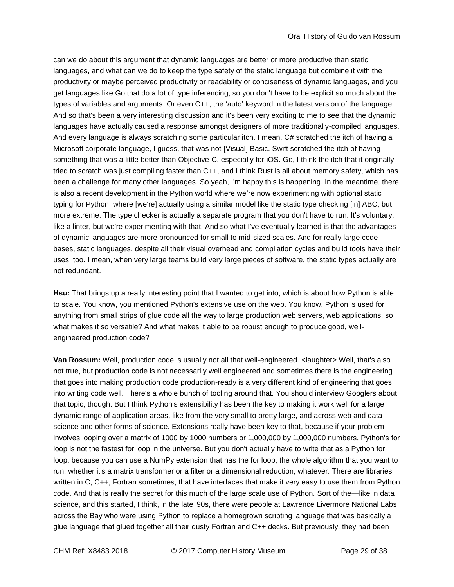can we do about this argument that dynamic languages are better or more productive than static languages, and what can we do to keep the type safety of the static language but combine it with the productivity or maybe perceived productivity or readability or conciseness of dynamic languages, and you get languages like Go that do a lot of type inferencing, so you don't have to be explicit so much about the types of variables and arguments. Or even C++, the 'auto' keyword in the latest version of the language. And so that's been a very interesting discussion and it's been very exciting to me to see that the dynamic languages have actually caused a response amongst designers of more traditionally-compiled languages. And every language is always scratching some particular itch. I mean, C# scratched the itch of having a Microsoft corporate language, I guess, that was not [Visual] Basic. Swift scratched the itch of having something that was a little better than Objective-C, especially for iOS. Go, I think the itch that it originally tried to scratch was just compiling faster than C++, and I think Rust is all about memory safety, which has been a challenge for many other languages. So yeah, I'm happy this is happening. In the meantime, there is also a recent development in the Python world where we're now experimenting with optional static typing for Python, where [we're] actually using a similar model like the static type checking [in] ABC, but more extreme. The type checker is actually a separate program that you don't have to run. It's voluntary, like a linter, but we're experimenting with that. And so what I've eventually learned is that the advantages of dynamic languages are more pronounced for small to mid-sized scales. And for really large code bases, static languages, despite all their visual overhead and compilation cycles and build tools have their uses, too. I mean, when very large teams build very large pieces of software, the static types actually are not redundant.

**Hsu:** That brings up a really interesting point that I wanted to get into, which is about how Python is able to scale. You know, you mentioned Python's extensive use on the web. You know, Python is used for anything from small strips of glue code all the way to large production web servers, web applications, so what makes it so versatile? And what makes it able to be robust enough to produce good, wellengineered production code?

**Van Rossum:** Well, production code is usually not all that well-engineered. <laughter> Well, that's also not true, but production code is not necessarily well engineered and sometimes there is the engineering that goes into making production code production-ready is a very different kind of engineering that goes into writing code well. There's a whole bunch of tooling around that. You should interview Googlers about that topic, though. But I think Python's extensibility has been the key to making it work well for a large dynamic range of application areas, like from the very small to pretty large, and across web and data science and other forms of science. Extensions really have been key to that, because if your problem involves looping over a matrix of 1000 by 1000 numbers or 1,000,000 by 1,000,000 numbers, Python's for loop is not the fastest for loop in the universe. But you don't actually have to write that as a Python for loop, because you can use a NumPy extension that has the for loop, the whole algorithm that you want to run, whether it's a matrix transformer or a filter or a dimensional reduction, whatever. There are libraries written in C, C++, Fortran sometimes, that have interfaces that make it very easy to use them from Python code. And that is really the secret for this much of the large scale use of Python. Sort of the—like in data science, and this started, I think, in the late '90s, there were people at Lawrence Livermore National Labs across the Bay who were using Python to replace a homegrown scripting language that was basically a glue language that glued together all their dusty Fortran and C++ decks. But previously, they had been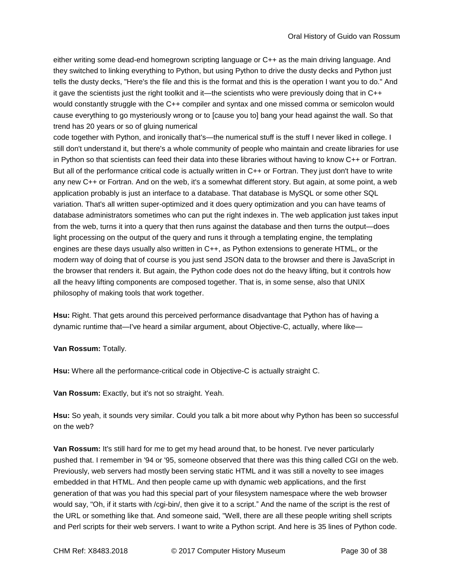either writing some dead-end homegrown scripting language or C++ as the main driving language. And they switched to linking everything to Python, but using Python to drive the dusty decks and Python just tells the dusty decks, "Here's the file and this is the format and this is the operation I want you to do." And it gave the scientists just the right toolkit and it—the scientists who were previously doing that in C++ would constantly struggle with the C++ compiler and syntax and one missed comma or semicolon would cause everything to go mysteriously wrong or to [cause you to] bang your head against the wall. So that trend has 20 years or so of gluing numerical

code together with Python, and ironically that's—the numerical stuff is the stuff I never liked in college. I still don't understand it, but there's a whole community of people who maintain and create libraries for use in Python so that scientists can feed their data into these libraries without having to know C++ or Fortran. But all of the performance critical code is actually written in C++ or Fortran. They just don't have to write any new C++ or Fortran. And on the web, it's a somewhat different story. But again, at some point, a web application probably is just an interface to a database. That database is MySQL or some other SQL variation. That's all written super-optimized and it does query optimization and you can have teams of database administrators sometimes who can put the right indexes in. The web application just takes input from the web, turns it into a query that then runs against the database and then turns the output—does light processing on the output of the query and runs it through a templating engine, the templating engines are these days usually also written in C++, as Python extensions to generate HTML, or the modern way of doing that of course is you just send JSON data to the browser and there is JavaScript in the browser that renders it. But again, the Python code does not do the heavy lifting, but it controls how all the heavy lifting components are composed together. That is, in some sense, also that UNIX philosophy of making tools that work together.

**Hsu:** Right. That gets around this perceived performance disadvantage that Python has of having a dynamic runtime that—I've heard a similar argument, about Objective-C, actually, where like—

# **Van Rossum:** Totally.

**Hsu:** Where all the performance-critical code in Objective-C is actually straight C.

**Van Rossum:** Exactly, but it's not so straight. Yeah.

**Hsu:** So yeah, it sounds very similar. Could you talk a bit more about why Python has been so successful on the web?

**Van Rossum:** It's still hard for me to get my head around that, to be honest. I've never particularly pushed that. I remember in '94 or '95, someone observed that there was this thing called CGI on the web. Previously, web servers had mostly been serving static HTML and it was still a novelty to see images embedded in that HTML. And then people came up with dynamic web applications, and the first generation of that was you had this special part of your filesystem namespace where the web browser would say, "Oh, if it starts with /cgi-bin/, then give it to a script." And the name of the script is the rest of the URL or something like that. And someone said, "Well, there are all these people writing shell scripts and Perl scripts for their web servers. I want to write a Python script. And here is 35 lines of Python code.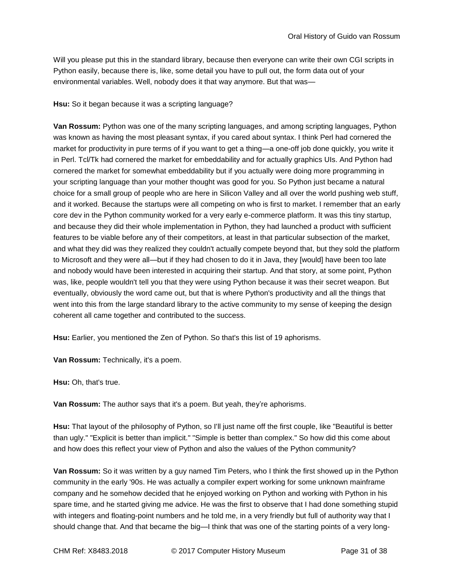Will you please put this in the standard library, because then everyone can write their own CGI scripts in Python easily, because there is, like, some detail you have to pull out, the form data out of your environmental variables. Well, nobody does it that way anymore. But that was—

# **Hsu:** So it began because it was a scripting language?

**Van Rossum:** Python was one of the many scripting languages, and among scripting languages, Python was known as having the most pleasant syntax, if you cared about syntax. I think Perl had cornered the market for productivity in pure terms of if you want to get a thing—a one-off job done quickly, you write it in Perl. Tcl/Tk had cornered the market for embeddability and for actually graphics UIs. And Python had cornered the market for somewhat embeddability but if you actually were doing more programming in your scripting language than your mother thought was good for you. So Python just became a natural choice for a small group of people who are here in Silicon Valley and all over the world pushing web stuff, and it worked. Because the startups were all competing on who is first to market. I remember that an early core dev in the Python community worked for a very early e-commerce platform. It was this tiny startup, and because they did their whole implementation in Python, they had launched a product with sufficient features to be viable before any of their competitors, at least in that particular subsection of the market, and what they did was they realized they couldn't actually compete beyond that, but they sold the platform to Microsoft and they were all—but if they had chosen to do it in Java, they [would] have been too late and nobody would have been interested in acquiring their startup. And that story, at some point, Python was, like, people wouldn't tell you that they were using Python because it was their secret weapon. But eventually, obviously the word came out, but that is where Python's productivity and all the things that went into this from the large standard library to the active community to my sense of keeping the design coherent all came together and contributed to the success.

**Hsu:** Earlier, you mentioned the Zen of Python. So that's this list of 19 aphorisms.

**Van Rossum:** Technically, it's a poem.

**Hsu:** Oh, that's true.

**Van Rossum:** The author says that it's a poem. But yeah, they're aphorisms.

**Hsu:** That layout of the philosophy of Python, so I'll just name off the first couple, like "Beautiful is better than ugly." "Explicit is better than implicit." "Simple is better than complex." So how did this come about and how does this reflect your view of Python and also the values of the Python community?

**Van Rossum:** So it was written by a guy named Tim Peters, who I think the first showed up in the Python community in the early '90s. He was actually a compiler expert working for some unknown mainframe company and he somehow decided that he enjoyed working on Python and working with Python in his spare time, and he started giving me advice. He was the first to observe that I had done something stupid with integers and floating-point numbers and he told me, in a very friendly but full of authority way that I should change that. And that became the big—I think that was one of the starting points of a very long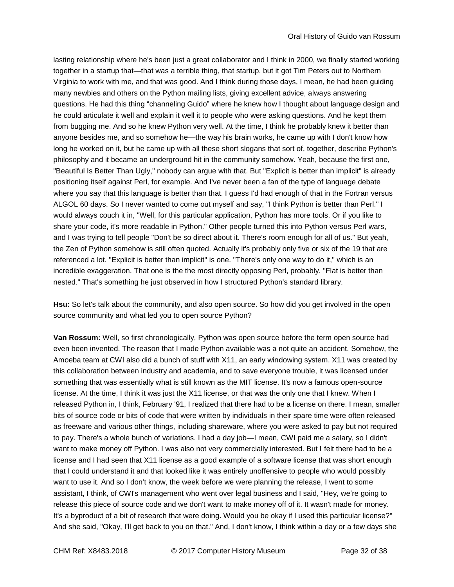lasting relationship where he's been just a great collaborator and I think in 2000, we finally started working together in a startup that—that was a terrible thing, that startup, but it got Tim Peters out to Northern Virginia to work with me, and that was good. And I think during those days, I mean, he had been guiding many newbies and others on the Python mailing lists, giving excellent advice, always answering questions. He had this thing "channeling Guido" where he knew how I thought about language design and he could articulate it well and explain it well it to people who were asking questions. And he kept them from bugging me. And so he knew Python very well. At the time, I think he probably knew it better than anyone besides me, and so somehow he—the way his brain works, he came up with I don't know how long he worked on it, but he came up with all these short slogans that sort of, together, describe Python's philosophy and it became an underground hit in the community somehow. Yeah, because the first one, "Beautiful Is Better Than Ugly," nobody can argue with that. But "Explicit is better than implicit" is already positioning itself against Perl, for example. And I've never been a fan of the type of language debate where you say that this language is better than that. I guess I'd had enough of that in the Fortran versus ALGOL 60 days. So I never wanted to come out myself and say, "I think Python is better than Perl." I would always couch it in, "Well, for this particular application, Python has more tools. Or if you like to share your code, it's more readable in Python." Other people turned this into Python versus Perl wars, and I was trying to tell people "Don't be so direct about it. There's room enough for all of us." But yeah, the Zen of Python somehow is still often quoted. Actually it's probably only five or six of the 19 that are referenced a lot. "Explicit is better than implicit" is one. "There's only one way to do it," which is an incredible exaggeration. That one is the the most directly opposing Perl, probably. "Flat is better than nested." That's something he just observed in how I structured Python's standard library.

**Hsu:** So let's talk about the community, and also open source. So how did you get involved in the open source community and what led you to open source Python?

**Van Rossum:** Well, so first chronologically, Python was open source before the term open source had even been invented. The reason that I made Python available was a not quite an accident. Somehow, the Amoeba team at CWI also did a bunch of stuff with X11, an early windowing system. X11 was created by this collaboration between industry and academia, and to save everyone trouble, it was licensed under something that was essentially what is still known as the MIT license. It's now a famous open-source license. At the time, I think it was just the X11 license, or that was the only one that I knew. When I released Python in, I think, February '91, I realized that there had to be a license on there. I mean, smaller bits of source code or bits of code that were written by individuals in their spare time were often released as freeware and various other things, including shareware, where you were asked to pay but not required to pay. There's a whole bunch of variations. I had a day job—I mean, CWI paid me a salary, so I didn't want to make money off Python. I was also not very commercially interested. But I felt there had to be a license and I had seen that X11 license as a good example of a software license that was short enough that I could understand it and that looked like it was entirely unoffensive to people who would possibly want to use it. And so I don't know, the week before we were planning the release, I went to some assistant, I think, of CWI's management who went over legal business and I said, "Hey, we're going to release this piece of source code and we don't want to make money off of it. It wasn't made for money. It's a byproduct of a bit of research that were doing. Would you be okay if I used this particular license?" And she said, "Okay, I'll get back to you on that." And, I don't know, I think within a day or a few days she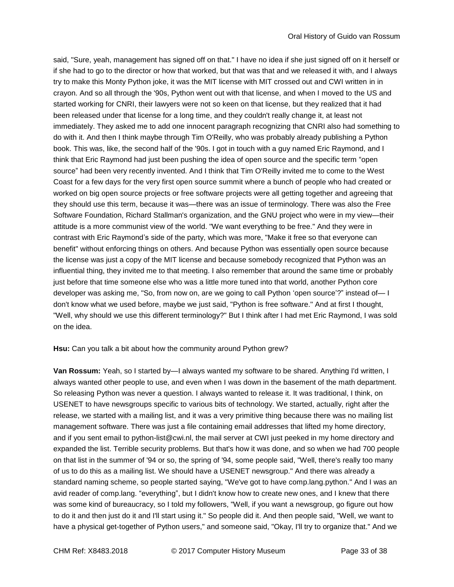said, "Sure, yeah, management has signed off on that." I have no idea if she just signed off on it herself or if she had to go to the director or how that worked, but that was that and we released it with, and I always try to make this Monty Python joke, it was the MIT license with MIT crossed out and CWI written in in crayon. And so all through the '90s, Python went out with that license, and when I moved to the US and started working for CNRI, their lawyers were not so keen on that license, but they realized that it had been released under that license for a long time, and they couldn't really change it, at least not immediately. They asked me to add one innocent paragraph recognizing that CNRI also had something to do with it. And then I think maybe through Tim O'Reilly, who was probably already publishing a Python book. This was, like, the second half of the '90s. I got in touch with a guy named Eric Raymond, and I think that Eric Raymond had just been pushing the idea of open source and the specific term "open source" had been very recently invented. And I think that Tim O'Reilly invited me to come to the West Coast for a few days for the very first open source summit where a bunch of people who had created or worked on big open source projects or free software projects were all getting together and agreeing that they should use this term, because it was—there was an issue of terminology. There was also the Free Software Foundation, Richard Stallman's organization, and the GNU project who were in my view—their attitude is a more communist view of the world. "We want everything to be free." And they were in contrast with Eric Raymond's side of the party, which was more, "Make it free so that everyone can benefit" without enforcing things on others. And because Python was essentially open source because the license was just a copy of the MIT license and because somebody recognized that Python was an influential thing, they invited me to that meeting. I also remember that around the same time or probably just before that time someone else who was a little more tuned into that world, another Python core developer was asking me, "So, from now on, are we going to call Python 'open source'?" instead of— I don't know what we used before, maybe we just said, "Python is free software." And at first I thought, "Well, why should we use this different terminology?" But I think after I had met Eric Raymond, I was sold on the idea.

**Hsu:** Can you talk a bit about how the community around Python grew?

**Van Rossum:** Yeah, so I started by—I always wanted my software to be shared. Anything I'd written, I always wanted other people to use, and even when I was down in the basement of the math department. So releasing Python was never a question. I always wanted to release it. It was traditional, I think, on USENET to have newsgroups specific to various bits of technology. We started, actually, right after the release, we started with a mailing list, and it was a very primitive thing because there was no mailing list management software. There was just a file containing email addresses that lifted my home directory, and if you sent email to python-list@cwi.nl, the mail server at CWI just peeked in my home directory and expanded the list. Terrible security problems. But that's how it was done, and so when we had 700 people on that list in the summer of '94 or so, the spring of '94, some people said, "Well, there's really too many of us to do this as a mailing list. We should have a USENET newsgroup." And there was already a standard naming scheme, so people started saying, "We've got to have comp.lang.python." And I was an avid reader of comp.lang. "everything", but I didn't know how to create new ones, and I knew that there was some kind of bureaucracy, so I told my followers, "Well, if you want a newsgroup, go figure out how to do it and then just do it and I'll start using it." So people did it. And then people said, "Well, we want to have a physical get-together of Python users," and someone said, "Okay, I'll try to organize that." And we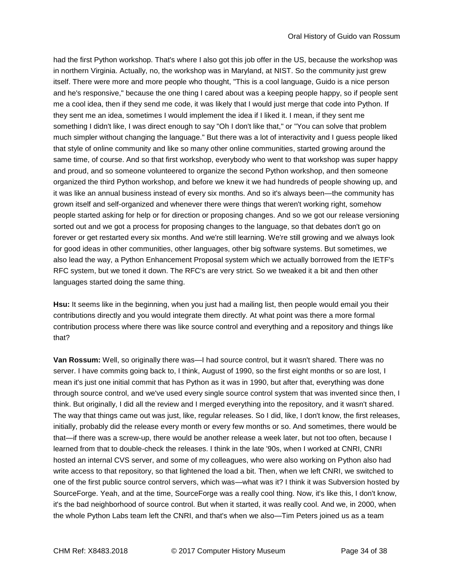had the first Python workshop. That's where I also got this job offer in the US, because the workshop was in northern Virginia. Actually, no, the workshop was in Maryland, at NIST. So the community just grew itself. There were more and more people who thought, "This is a cool language, Guido is a nice person and he's responsive," because the one thing I cared about was a keeping people happy, so if people sent me a cool idea, then if they send me code, it was likely that I would just merge that code into Python. If they sent me an idea, sometimes I would implement the idea if I liked it. I mean, if they sent me something I didn't like, I was direct enough to say "Oh I don't like that," or "You can solve that problem much simpler without changing the language." But there was a lot of interactivity and I guess people liked that style of online community and like so many other online communities, started growing around the same time, of course. And so that first workshop, everybody who went to that workshop was super happy and proud, and so someone volunteered to organize the second Python workshop, and then someone organized the third Python workshop, and before we knew it we had hundreds of people showing up, and it was like an annual business instead of every six months. And so it's always been—the community has grown itself and self-organized and whenever there were things that weren't working right, somehow people started asking for help or for direction or proposing changes. And so we got our release versioning sorted out and we got a process for proposing changes to the language, so that debates don't go on forever or get restarted every six months. And we're still learning. We're still growing and we always look for good ideas in other communities, other languages, other big software systems. But sometimes, we also lead the way, a Python Enhancement Proposal system which we actually borrowed from the IETF's RFC system, but we toned it down. The RFC's are very strict. So we tweaked it a bit and then other languages started doing the same thing.

**Hsu:** It seems like in the beginning, when you just had a mailing list, then people would email you their contributions directly and you would integrate them directly. At what point was there a more formal contribution process where there was like source control and everything and a repository and things like that?

**Van Rossum:** Well, so originally there was—I had source control, but it wasn't shared. There was no server. I have commits going back to, I think, August of 1990, so the first eight months or so are lost, I mean it's just one initial commit that has Python as it was in 1990, but after that, everything was done through source control, and we've used every single source control system that was invented since then, I think. But originally, I did all the review and I merged everything into the repository, and it wasn't shared. The way that things came out was just, like, regular releases. So I did, like, I don't know, the first releases, initially, probably did the release every month or every few months or so. And sometimes, there would be that—if there was a screw-up, there would be another release a week later, but not too often, because I learned from that to double-check the releases. I think in the late '90s, when I worked at CNRI, CNRI hosted an internal CVS server, and some of my colleagues, who were also working on Python also had write access to that repository, so that lightened the load a bit. Then, when we left CNRI, we switched to one of the first public source control servers, which was—what was it? I think it was Subversion hosted by SourceForge. Yeah, and at the time, SourceForge was a really cool thing. Now, it's like this, I don't know, it's the bad neighborhood of source control. But when it started, it was really cool. And we, in 2000, when the whole Python Labs team left the CNRI, and that's when we also—Tim Peters joined us as a team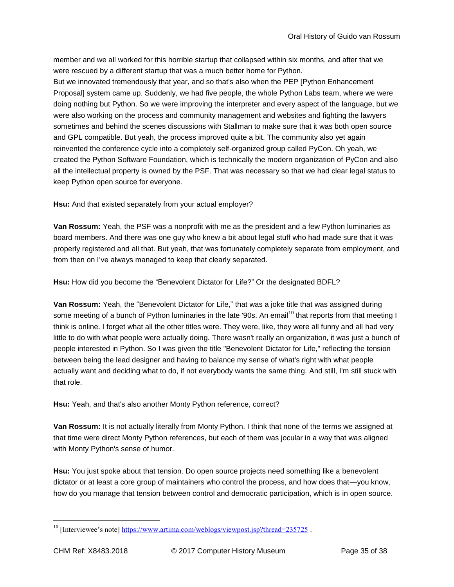member and we all worked for this horrible startup that collapsed within six months, and after that we were rescued by a different startup that was a much better home for Python.

But we innovated tremendously that year, and so that's also when the PEP [Python Enhancement Proposal] system came up. Suddenly, we had five people, the whole Python Labs team, where we were doing nothing but Python. So we were improving the interpreter and every aspect of the language, but we were also working on the process and community management and websites and fighting the lawyers sometimes and behind the scenes discussions with Stallman to make sure that it was both open source and GPL compatible. But yeah, the process improved quite a bit. The community also yet again reinvented the conference cycle into a completely self-organized group called PyCon. Oh yeah, we created the Python Software Foundation, which is technically the modern organization of PyCon and also all the intellectual property is owned by the PSF. That was necessary so that we had clear legal status to keep Python open source for everyone.

**Hsu:** And that existed separately from your actual employer?

**Van Rossum:** Yeah, the PSF was a nonprofit with me as the president and a few Python luminaries as board members. And there was one guy who knew a bit about legal stuff who had made sure that it was properly registered and all that. But yeah, that was fortunately completely separate from employment, and from then on I've always managed to keep that clearly separated.

**Hsu:** How did you become the "Benevolent Dictator for Life?" Or the designated BDFL?

**Van Rossum:** Yeah, the "Benevolent Dictator for Life," that was a joke title that was assigned during some meeting of a bunch of Python luminaries in the late '90s. An email<sup>10</sup> that reports from that meeting I think is online. I forget what all the other titles were. They were, like, they were all funny and all had very little to do with what people were actually doing. There wasn't really an organization, it was just a bunch of people interested in Python. So I was given the title "Benevolent Dictator for Life," reflecting the tension between being the lead designer and having to balance my sense of what's right with what people actually want and deciding what to do, if not everybody wants the same thing. And still, I'm still stuck with that role.

**Hsu:** Yeah, and that's also another Monty Python reference, correct?

**Van Rossum:** It is not actually literally from Monty Python. I think that none of the terms we assigned at that time were direct Monty Python references, but each of them was jocular in a way that was aligned with Monty Python's sense of humor.

**Hsu:** You just spoke about that tension. Do open source projects need something like a benevolent dictator or at least a core group of maintainers who control the process, and how does that—you know, how do you manage that tension between control and democratic participation, which is in open source.

 $^{10}$  [Interviewee's note]<https://www.artima.com/weblogs/viewpost.jsp?thread=235725>.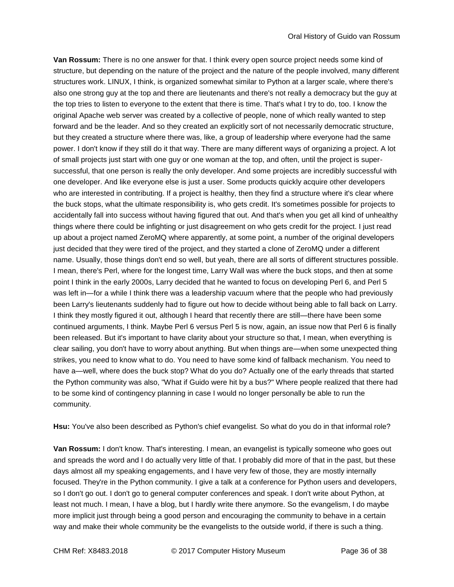**Van Rossum:** There is no one answer for that. I think every open source project needs some kind of structure, but depending on the nature of the project and the nature of the people involved, many different structures work. LINUX, I think, is organized somewhat similar to Python at a larger scale, where there's also one strong guy at the top and there are lieutenants and there's not really a democracy but the guy at the top tries to listen to everyone to the extent that there is time. That's what I try to do, too. I know the original Apache web server was created by a collective of people, none of which really wanted to step forward and be the leader. And so they created an explicitly sort of not necessarily democratic structure, but they created a structure where there was, like, a group of leadership where everyone had the same power. I don't know if they still do it that way. There are many different ways of organizing a project. A lot of small projects just start with one guy or one woman at the top, and often, until the project is supersuccessful, that one person is really the only developer. And some projects are incredibly successful with one developer. And like everyone else is just a user. Some products quickly acquire other developers who are interested in contributing. If a project is healthy, then they find a structure where it's clear where the buck stops, what the ultimate responsibility is, who gets credit. It's sometimes possible for projects to accidentally fall into success without having figured that out. And that's when you get all kind of unhealthy things where there could be infighting or just disagreement on who gets credit for the project. I just read up about a project named ZeroMQ where apparently, at some point, a number of the original developers just decided that they were tired of the project, and they started a clone of ZeroMQ under a different name. Usually, those things don't end so well, but yeah, there are all sorts of different structures possible. I mean, there's Perl, where for the longest time, Larry Wall was where the buck stops, and then at some point I think in the early 2000s, Larry decided that he wanted to focus on developing Perl 6, and Perl 5 was left in—for a while I think there was a leadership vacuum where that the people who had previously been Larry's lieutenants suddenly had to figure out how to decide without being able to fall back on Larry. I think they mostly figured it out, although I heard that recently there are still—there have been some continued arguments, I think. Maybe Perl 6 versus Perl 5 is now, again, an issue now that Perl 6 is finally been released. But it's important to have clarity about your structure so that, I mean, when everything is clear sailing, you don't have to worry about anything. But when things are—when some unexpected thing strikes, you need to know what to do. You need to have some kind of fallback mechanism. You need to have a—well, where does the buck stop? What do you do? Actually one of the early threads that started the Python community was also, "What if Guido were hit by a bus?" Where people realized that there had to be some kind of contingency planning in case I would no longer personally be able to run the community.

**Hsu:** You've also been described as Python's chief evangelist. So what do you do in that informal role?

**Van Rossum:** I don't know. That's interesting. I mean, an evangelist is typically someone who goes out and spreads the word and I do actually very little of that. I probably did more of that in the past, but these days almost all my speaking engagements, and I have very few of those, they are mostly internally focused. They're in the Python community. I give a talk at a conference for Python users and developers, so I don't go out. I don't go to general computer conferences and speak. I don't write about Python, at least not much. I mean, I have a blog, but I hardly write there anymore. So the evangelism, I do maybe more implicit just through being a good person and encouraging the community to behave in a certain way and make their whole community be the evangelists to the outside world, if there is such a thing.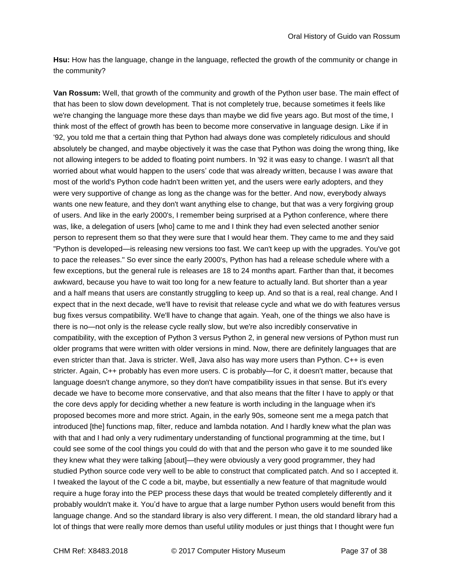**Hsu:** How has the language, change in the language, reflected the growth of the community or change in the community?

**Van Rossum:** Well, that growth of the community and growth of the Python user base. The main effect of that has been to slow down development. That is not completely true, because sometimes it feels like we're changing the language more these days than maybe we did five years ago. But most of the time, I think most of the effect of growth has been to become more conservative in language design. Like if in '92, you told me that a certain thing that Python had always done was completely ridiculous and should absolutely be changed, and maybe objectively it was the case that Python was doing the wrong thing, like not allowing integers to be added to floating point numbers. In '92 it was easy to change. I wasn't all that worried about what would happen to the users' code that was already written, because I was aware that most of the world's Python code hadn't been written yet, and the users were early adopters, and they were very supportive of change as long as the change was for the better. And now, everybody always wants one new feature, and they don't want anything else to change, but that was a very forgiving group of users. And like in the early 2000's, I remember being surprised at a Python conference, where there was, like, a delegation of users [who] came to me and I think they had even selected another senior person to represent them so that they were sure that I would hear them. They came to me and they said "Python is developed—is releasing new versions too fast. We can't keep up with the upgrades. You've got to pace the releases." So ever since the early 2000's, Python has had a release schedule where with a few exceptions, but the general rule is releases are 18 to 24 months apart. Farther than that, it becomes awkward, because you have to wait too long for a new feature to actually land. But shorter than a year and a half means that users are constantly struggling to keep up. And so that is a real, real change. And I expect that in the next decade, we'll have to revisit that release cycle and what we do with features versus bug fixes versus compatibility. We'll have to change that again. Yeah, one of the things we also have is there is no—not only is the release cycle really slow, but we're also incredibly conservative in compatibility, with the exception of Python 3 versus Python 2, in general new versions of Python must run older programs that were written with older versions in mind. Now, there are definitely languages that are even stricter than that. Java is stricter. Well, Java also has way more users than Python. C++ is even stricter. Again, C++ probably has even more users. C is probably—for C, it doesn't matter, because that language doesn't change anymore, so they don't have compatibility issues in that sense. But it's every decade we have to become more conservative, and that also means that the filter I have to apply or that the core devs apply for deciding whether a new feature is worth including in the language when it's proposed becomes more and more strict. Again, in the early 90s, someone sent me a mega patch that introduced [the] functions map, filter, reduce and lambda notation. And I hardly knew what the plan was with that and I had only a very rudimentary understanding of functional programming at the time, but I could see some of the cool things you could do with that and the person who gave it to me sounded like they knew what they were talking [about]—they were obviously a very good programmer, they had studied Python source code very well to be able to construct that complicated patch. And so I accepted it. I tweaked the layout of the C code a bit, maybe, but essentially a new feature of that magnitude would require a huge foray into the PEP process these days that would be treated completely differently and it probably wouldn't make it. You'd have to argue that a large number Python users would benefit from this language change. And so the standard library is also very different. I mean, the old standard library had a lot of things that were really more demos than useful utility modules or just things that I thought were fun